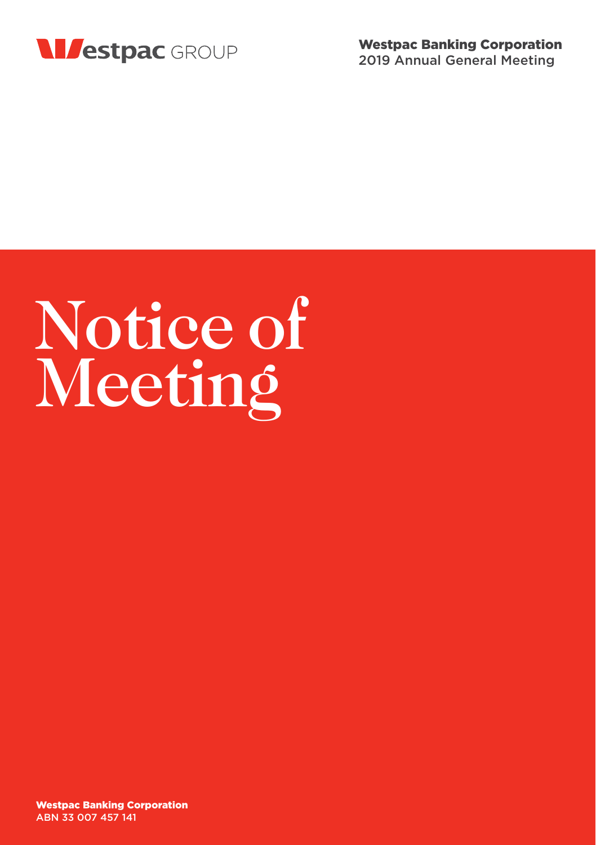

# Notice of Meeting

Westpac Banking Corporation ABN 33 007 457 141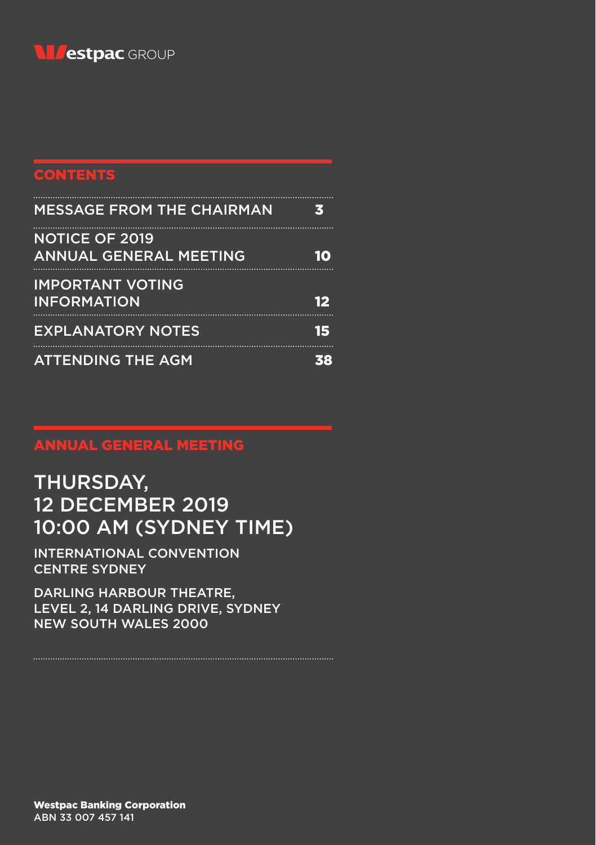

# **CONTENTS**

| <b>MESSAGE FROM THE CHAIRMAN</b>                       | з    |
|--------------------------------------------------------|------|
| <b>NOTICE OF 2019</b><br><b>ANNUAL GENERAL MEETING</b> | 10   |
| <b>IMPORTANT VOTING</b><br><b>INFORMATION</b>          | 12   |
| <b>EXPLANATORY NOTES</b>                               | i Is |
| <b>ATTENDING THE AGM</b>                               |      |

# ANNUAL GENERAL MEETING

# THURSDAY, 12 DECEMBER 2019 10:00 AM (SYDNEY TIME)

INTERNATIONAL CONVENTION CENTRE SYDNEY

DARLING HARBOUR THEATRE, LEVEL 2, 14 DARLING DRIVE, SYDNEY NEW SOUTH WALES 2000

Westpac Banking Corporation ABN 33 007 457 141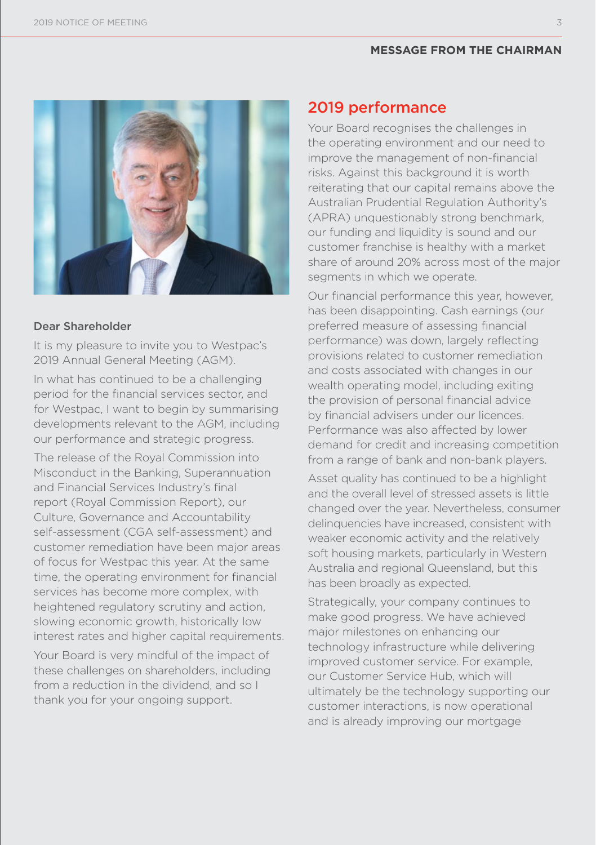#### **MESSAGE FROM THE CHAIRMAN**



#### Dear Shareholder

It is my pleasure to invite you to Westpac's 2019 Annual General Meeting (AGM).

In what has continued to be a challenging period for the financial services sector, and for Westpac, I want to begin by summarising developments relevant to the AGM, including our performance and strategic progress.

The release of the Royal Commission into Misconduct in the Banking, Superannuation and Financial Services Industry's final report (Royal Commission Report), our Culture, Governance and Accountability self-assessment (CGA self-assessment) and customer remediation have been major areas of focus for Westpac this year. At the same time, the operating environment for financial services has become more complex, with heightened regulatory scrutiny and action, slowing economic growth, historically low interest rates and higher capital requirements.

Your Board is very mindful of the impact of these challenges on shareholders, including from a reduction in the dividend, and so I thank you for your ongoing support.

# 2019 performance

Your Board recognises the challenges in the operating environment and our need to improve the management of non-financial risks. Against this background it is worth reiterating that our capital remains above the Australian Prudential Regulation Authority's (APRA) unquestionably strong benchmark, our funding and liquidity is sound and our customer franchise is healthy with a market share of around 20% across most of the major segments in which we operate.

Our financial performance this year, however, has been disappointing. Cash earnings (our preferred measure of assessing financial performance) was down, largely reflecting provisions related to customer remediation and costs associated with changes in our wealth operating model, including exiting the provision of personal financial advice by financial advisers under our licences. Performance was also affected by lower demand for credit and increasing competition from a range of bank and non-bank players.

Asset quality has continued to be a highlight and the overall level of stressed assets is little changed over the year. Nevertheless, consumer delinquencies have increased, consistent with weaker economic activity and the relatively soft housing markets, particularly in Western Australia and regional Queensland, but this has been broadly as expected.

Strategically, your company continues to make good progress. We have achieved major milestones on enhancing our technology infrastructure while delivering improved customer service. For example, our Customer Service Hub, which will ultimately be the technology supporting our customer interactions, is now operational and is already improving our mortgage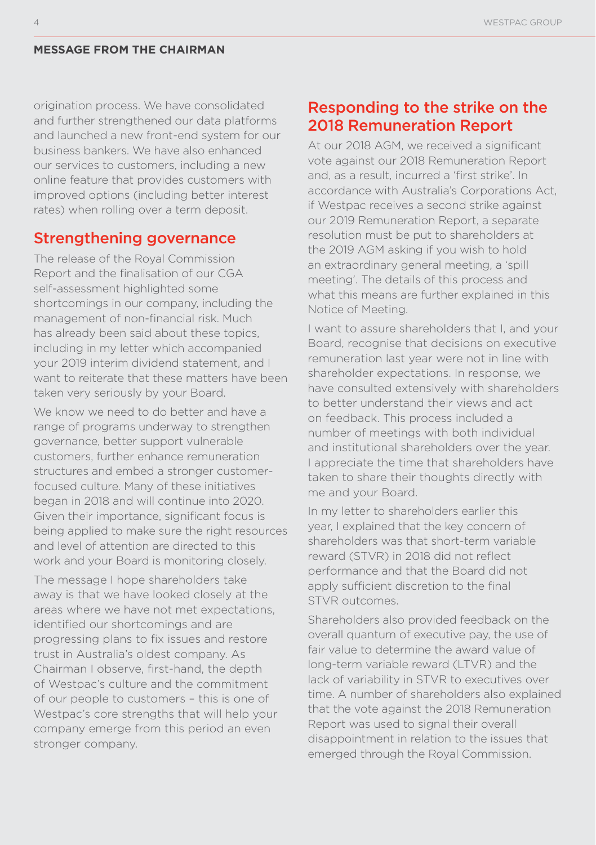#### **MESSAGE FROM THE CHAIRMAN**

origination process. We have consolidated and further strengthened our data platforms and launched a new front-end system for our business bankers. We have also enhanced our services to customers, including a new online feature that provides customers with improved options (including better interest rates) when rolling over a term deposit.

## Strengthening governance

The release of the Royal Commission Report and the finalisation of our CGA self-assessment highlighted some shortcomings in our company, including the management of non-financial risk. Much has already been said about these topics, including in my letter which accompanied your 2019 interim dividend statement, and I want to reiterate that these matters have been taken very seriously by your Board.

We know we need to do better and have a range of programs underway to strengthen governance, better support vulnerable customers, further enhance remuneration structures and embed a stronger customerfocused culture. Many of these initiatives began in 2018 and will continue into 2020. Given their importance, significant focus is being applied to make sure the right resources and level of attention are directed to this work and your Board is monitoring closely.

The message I hope shareholders take away is that we have looked closely at the areas where we have not met expectations, identified our shortcomings and are progressing plans to fix issues and restore trust in Australia's oldest company. As Chairman I observe, first-hand, the depth of Westpac's culture and the commitment of our people to customers – this is one of Westpac's core strengths that will help your company emerge from this period an even stronger company.

# Responding to the strike on the 2018 Remuneration Report

At our 2018 AGM, we received a significant vote against our 2018 Remuneration Report and, as a result, incurred a 'first strike'. In accordance with Australia's Corporations Act, if Westpac receives a second strike against our 2019 Remuneration Report, a separate resolution must be put to shareholders at the 2019 AGM asking if you wish to hold an extraordinary general meeting, a 'spill meeting'. The details of this process and what this means are further explained in this Notice of Meeting.

I want to assure shareholders that I, and your Board, recognise that decisions on executive remuneration last year were not in line with shareholder expectations. In response, we have consulted extensively with shareholders to better understand their views and act on feedback. This process included a number of meetings with both individual and institutional shareholders over the year. I appreciate the time that shareholders have taken to share their thoughts directly with me and your Board.

In my letter to shareholders earlier this year, I explained that the key concern of shareholders was that short-term variable reward (STVR) in 2018 did not reflect performance and that the Board did not apply sufficient discretion to the final STVR outcomes.

Shareholders also provided feedback on the overall quantum of executive pay, the use of fair value to determine the award value of long-term variable reward (LTVR) and the lack of variability in STVR to executives over time. A number of shareholders also explained that the vote against the 2018 Remuneration Report was used to signal their overall disappointment in relation to the issues that emerged through the Royal Commission.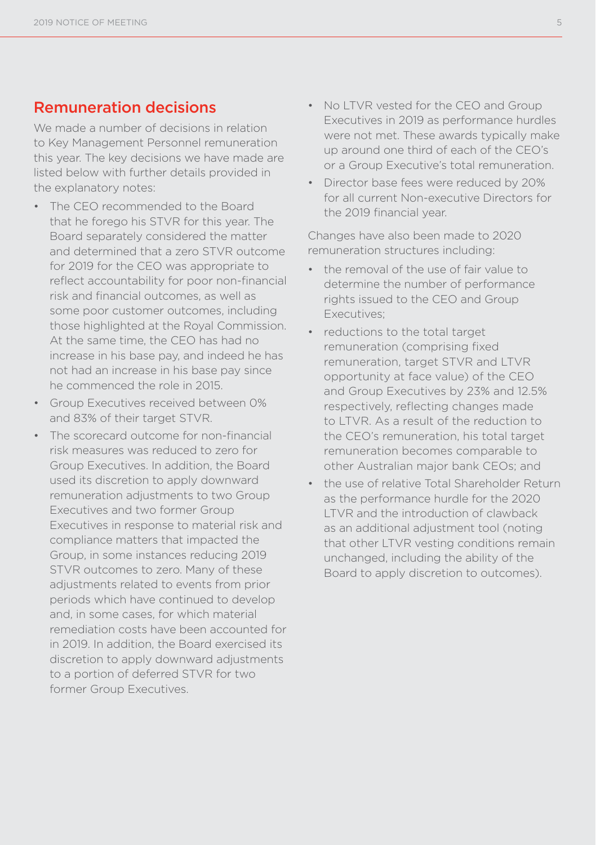# Remuneration decisions

We made a number of decisions in relation to Key Management Personnel remuneration this year. The key decisions we have made are listed below with further details provided in the explanatory notes:

- The CEO recommended to the Board that he forego his STVR for this year. The Board separately considered the matter and determined that a zero STVR outcome for 2019 for the CEO was appropriate to reflect accountability for poor non-financial risk and financial outcomes, as well as some poor customer outcomes, including those highlighted at the Royal Commission. At the same time, the CEO has had no increase in his base pay, and indeed he has not had an increase in his base pay since he commenced the role in 2015.
- Group Executives received between 0% and 83% of their target STVR.
- The scorecard outcome for non-financial risk measures was reduced to zero for Group Executives. In addition, the Board used its discretion to apply downward remuneration adjustments to two Group Executives and two former Group Executives in response to material risk and compliance matters that impacted the Group, in some instances reducing 2019 STVR outcomes to zero. Many of these adjustments related to events from prior periods which have continued to develop and, in some cases, for which material remediation costs have been accounted for in 2019. In addition, the Board exercised its discretion to apply downward adjustments to a portion of deferred STVR for two former Group Executives.
- No LTVR vested for the CEO and Group Executives in 2019 as performance hurdles were not met. These awards typically make up around one third of each of the CEO's or a Group Executive's total remuneration.
- Director base fees were reduced by 20% for all current Non-executive Directors for the 2019 financial year.

Changes have also been made to 2020 remuneration structures including:

- the removal of the use of fair value to determine the number of performance rights issued to the CEO and Group Executives;
- reductions to the total target remuneration (comprising fixed remuneration, target STVR and LTVR opportunity at face value) of the CEO and Group Executives by 23% and 12.5% respectively, reflecting changes made to LTVR. As a result of the reduction to the CEO's remuneration, his total target remuneration becomes comparable to other Australian major bank CEOs; and
- the use of relative Total Shareholder Return as the performance hurdle for the 2020 LTVR and the introduction of clawback as an additional adjustment tool (noting that other LTVR vesting conditions remain unchanged, including the ability of the Board to apply discretion to outcomes).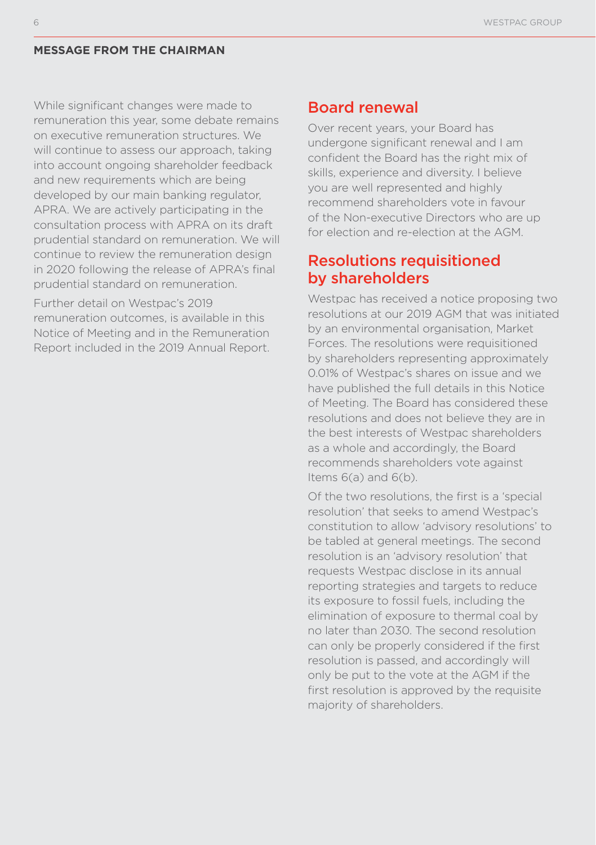#### **MESSAGE FROM THE CHAIRMAN**

While significant changes were made to remuneration this year, some debate remains on executive remuneration structures. We will continue to assess our approach, taking into account ongoing shareholder feedback and new requirements which are being developed by our main banking regulator, APRA. We are actively participating in the consultation process with APRA on its draft prudential standard on remuneration. We will continue to review the remuneration design in 2020 following the release of APRA's final prudential standard on remuneration.

Further detail on Westpac's 2019 remuneration outcomes, is available in this Notice of Meeting and in the Remuneration Report included in the 2019 Annual Report.

#### Board renewal

Over recent years, your Board has undergone significant renewal and I am confident the Board has the right mix of skills, experience and diversity. I believe you are well represented and highly recommend shareholders vote in favour of the Non-executive Directors who are up for election and re-election at the AGM.

## Resolutions requisitioned by shareholders

Westpac has received a notice proposing two resolutions at our 2019 AGM that was initiated by an environmental organisation, Market Forces. The resolutions were requisitioned by shareholders representing approximately 0.01% of Westpac's shares on issue and we have published the full details in this Notice of Meeting. The Board has considered these resolutions and does not believe they are in the best interests of Westpac shareholders as a whole and accordingly, the Board recommends shareholders vote against Items 6(a) and 6(b).

Of the two resolutions, the first is a 'special resolution' that seeks to amend Westpac's constitution to allow 'advisory resolutions' to be tabled at general meetings. The second resolution is an 'advisory resolution' that requests Westpac disclose in its annual reporting strategies and targets to reduce its exposure to fossil fuels, including the elimination of exposure to thermal coal by no later than 2030. The second resolution can only be properly considered if the first resolution is passed, and accordingly will only be put to the vote at the AGM if the first resolution is approved by the requisite majority of shareholders.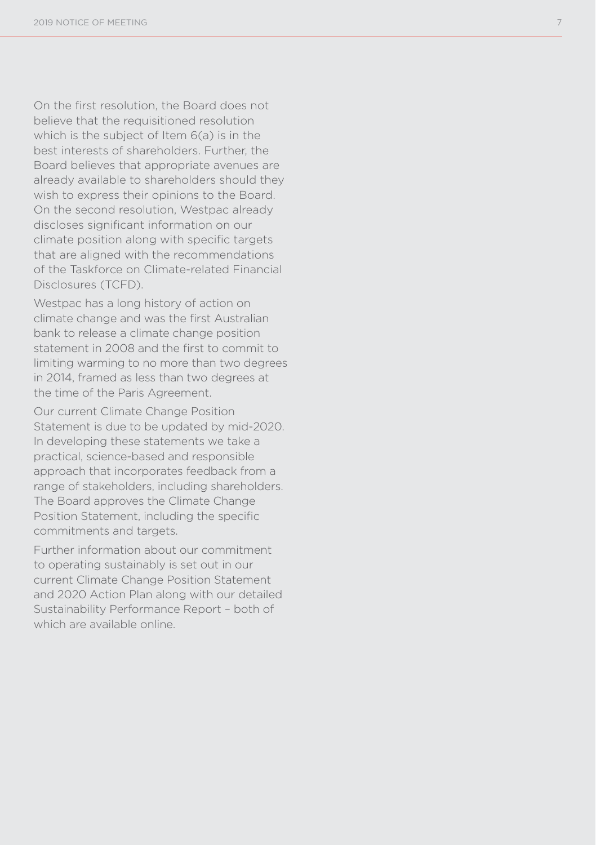On the first resolution, the Board does not believe that the requisitioned resolution which is the subject of Item 6(a) is in the best interests of shareholders. Further, the Board believes that appropriate avenues are already available to shareholders should they wish to express their opinions to the Board. On the second resolution, Westpac already discloses significant information on our climate position along with specific targets that are aligned with the recommendations of the Taskforce on Climate-related Financial Disclosures (TCFD).

Westpac has a long history of action on climate change and was the first Australian bank to release a climate change position statement in 2008 and the first to commit to limiting warming to no more than two degrees in 2014, framed as less than two degrees at the time of the Paris Agreement.

Our current Climate Change Position Statement is due to be updated by mid-2020. In developing these statements we take a practical, science-based and responsible approach that incorporates feedback from a range of stakeholders, including shareholders. The Board approves the Climate Change Position Statement, including the specific commitments and targets.

Further information about our commitment to operating sustainably is set out in our current Climate Change Position Statement and 2020 Action Plan along with our detailed Sustainability Performance Report – both of which are available online.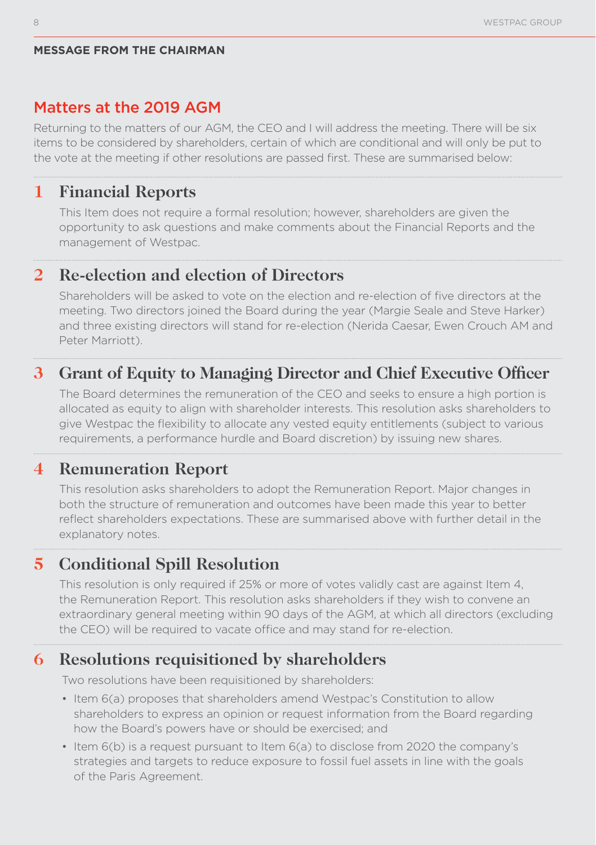#### **MESSAGE FROM THE CHAIRMAN**

#### Matters at the 2019 AGM

Returning to the matters of our AGM, the CEO and I will address the meeting. There will be six items to be considered by shareholders, certain of which are conditional and will only be put to the vote at the meeting if other resolutions are passed first. These are summarised below:

# **1 Financial Reports**

This Item does not require a formal resolution; however, shareholders are given the opportunity to ask questions and make comments about the Financial Reports and the management of Westpac.

# **2 Re-election and election of Directors**

Shareholders will be asked to vote on the election and re-election of five directors at the meeting. Two directors joined the Board during the year (Margie Seale and Steve Harker) and three existing directors will stand for re-election (Nerida Caesar, Ewen Crouch AM and Peter Marriott).

# **3 Grant of Equity to Managing Director and Chief Executive Officer**

The Board determines the remuneration of the CEO and seeks to ensure a high portion is allocated as equity to align with shareholder interests. This resolution asks shareholders to give Westpac the flexibility to allocate any vested equity entitlements (subject to various requirements, a performance hurdle and Board discretion) by issuing new shares.

# **4 Remuneration Report**

This resolution asks shareholders to adopt the Remuneration Report. Major changes in both the structure of remuneration and outcomes have been made this year to better reflect shareholders expectations. These are summarised above with further detail in the explanatory notes.

# **5 Conditional Spill Resolution**

This resolution is only required if 25% or more of votes validly cast are against Item 4, the Remuneration Report. This resolution asks shareholders if they wish to convene an extraordinary general meeting within 90 days of the AGM, at which all directors (excluding the CEO) will be required to vacate office and may stand for re-election.

# **6 Resolutions requisitioned by shareholders**

Two resolutions have been requisitioned by shareholders:

- Item 6(a) proposes that shareholders amend Westpac's Constitution to allow shareholders to express an opinion or request information from the Board regarding how the Board's powers have or should be exercised; and
- Item 6(b) is a request pursuant to Item 6(a) to disclose from 2020 the company's strategies and targets to reduce exposure to fossil fuel assets in line with the goals of the Paris Agreement.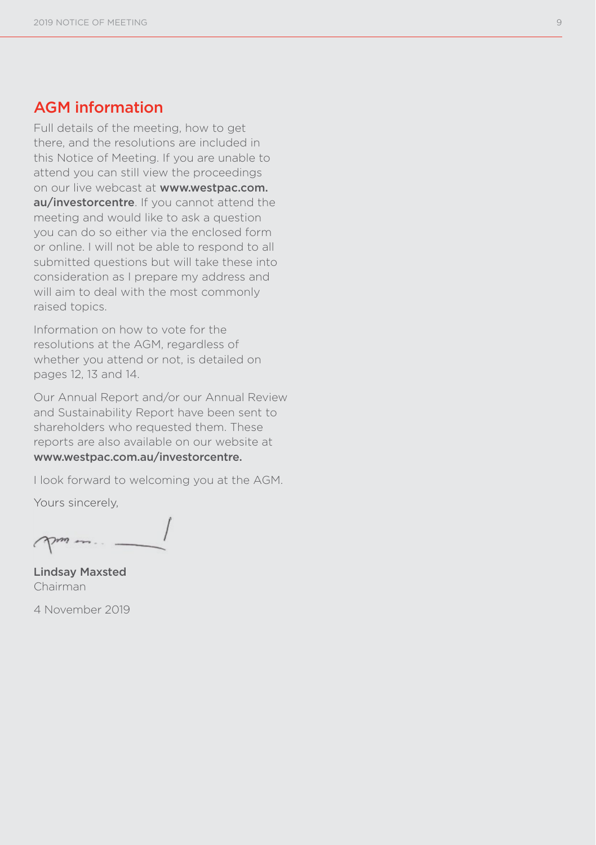# AGM information

Full details of the meeting, how to get there, and the resolutions are included in this Notice of Meeting. If you are unable to attend you can still view the proceedings on our live webcast at www.westpac.com. au/investorcentre. If you cannot attend the meeting and would like to ask a question you can do so either via the enclosed form or online. I will not be able to respond to all submitted questions but will take these into consideration as I prepare my address and will aim to deal with the most commonly raised topics.

Information on how to vote for the resolutions at the AGM, regardless of whether you attend or not, is detailed on pages 12, 13 and 14.

Our Annual Report and/or our Annual Review and Sustainability Report have been sent to shareholders who requested them. These reports are also available on our website at www.westpac.com.au/investorcentre.

I look forward to welcoming you at the AGM.

Yours sincerely,

Lindsay Maxsted Chairman

4 November 2019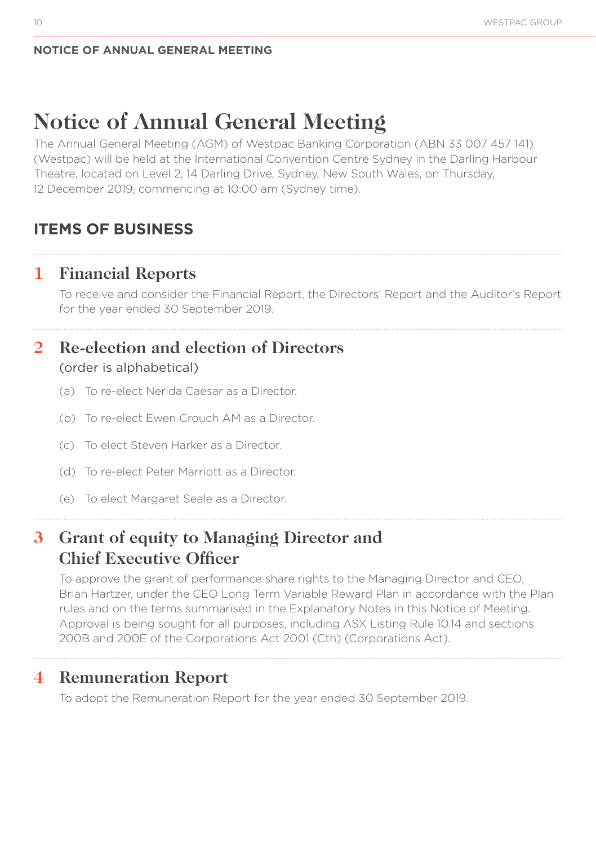# **Notice of Annual General Meeting**

The Annual General Meeting (AGM) of Westpac Banking Corporation (ABN 33 007 457 141) (Westpac) will be held at the International Convention Centre Sydney in the Darling Harbour Theatre, located on Level 2, 14 Darling Drive, Sydney, New South Wales, on Thursday, 12 December 2019, commencing at 10:00 am (Sydney time).

# **ITEMS OF BUSINESS**

# **1 Financial Reports**

To receive and consider the Financial Report, the Directors' Report and the Auditor's Report for the year ended 30 September 2019.

# **2 Re-election and election of Directors**  (order is alphabetical)

- (a) To re-elect Nerida Caesar as a Director.
- (b) To re-elect Ewen Crouch AM as a Director.
- (c) To elect Steven Harker as a Director.
- (d) To re-elect Peter Marriott as a Director.
- (e) To elect Margaret Seale as a Director.

# **3 Grant of equity to Managing Director and Chief Executive Officer**

To approve the grant of performance share rights to the Managing Director and CEO, Brian Hartzer, under the CEO Long Term Variable Reward Plan in accordance with the Plan rules and on the terms summarised in the Explanatory Notes in this Notice of Meeting. Approval is being sought for all purposes, including ASX Listing Rule 10.14 and sections 200B and 200E of the Corporations Act 2001 (Cth) (Corporations Act).

# **4 Remuneration Report**

To adopt the Remuneration Report for the year ended 30 September 2019.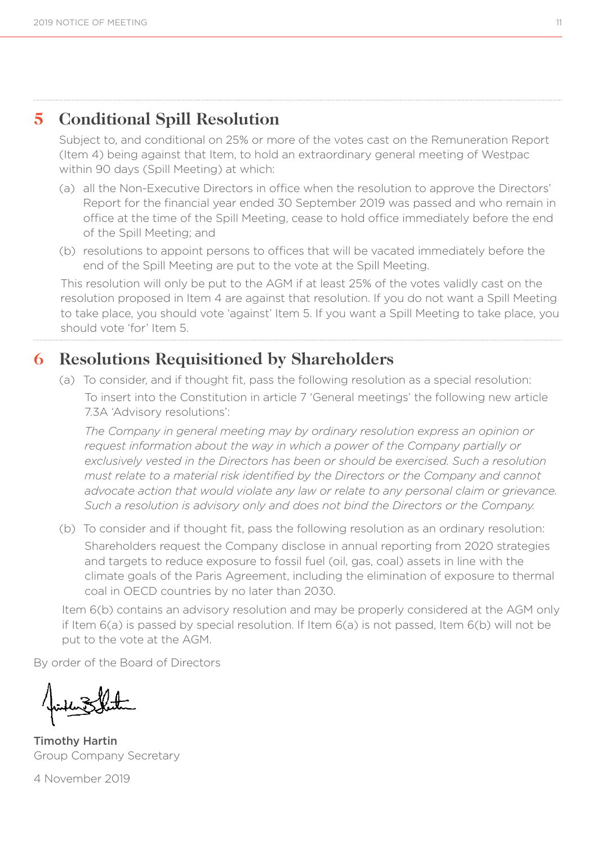# **5 Conditional Spill Resolution**

Subject to, and conditional on 25% or more of the votes cast on the Remuneration Report (Item 4) being against that Item, to hold an extraordinary general meeting of Westpac within 90 days (Spill Meeting) at which:

- (a) all the Non-Executive Directors in office when the resolution to approve the Directors' Report for the financial year ended 30 September 2019 was passed and who remain in office at the time of the Spill Meeting, cease to hold office immediately before the end of the Spill Meeting; and
- (b) resolutions to appoint persons to offices that will be vacated immediately before the end of the Spill Meeting are put to the vote at the Spill Meeting.

This resolution will only be put to the AGM if at least 25% of the votes validly cast on the resolution proposed in Item 4 are against that resolution. If you do not want a Spill Meeting to take place, you should vote 'against' Item 5. If you want a Spill Meeting to take place, you should vote 'for' Item 5.

# **6 Resolutions Requisitioned by Shareholders**

(a) To consider, and if thought fit, pass the following resolution as a special resolution: To insert into the Constitution in article 7 'General meetings' the following new article 7.3A 'Advisory resolutions':

*The Company in general meeting may by ordinary resolution express an opinion or request information about the way in which a power of the Company partially or exclusively vested in the Directors has been or should be exercised. Such a resolution must relate to a material risk identified by the Directors or the Company and cannot advocate action that would violate any law or relate to any personal claim or grievance. Such a resolution is advisory only and does not bind the Directors or the Company.*

(b) To consider and if thought fit, pass the following resolution as an ordinary resolution: Shareholders request the Company disclose in annual reporting from 2020 strategies and targets to reduce exposure to fossil fuel (oil, gas, coal) assets in line with the climate goals of the Paris Agreement, including the elimination of exposure to thermal coal in OECD countries by no later than 2030.

Item 6(b) contains an advisory resolution and may be properly considered at the AGM only if Item 6(a) is passed by special resolution. If Item 6(a) is not passed, Item 6(b) will not be put to the vote at the AGM.

By order of the Board of Directors

Timothy Hartin Group Company Secretary

4 November 2019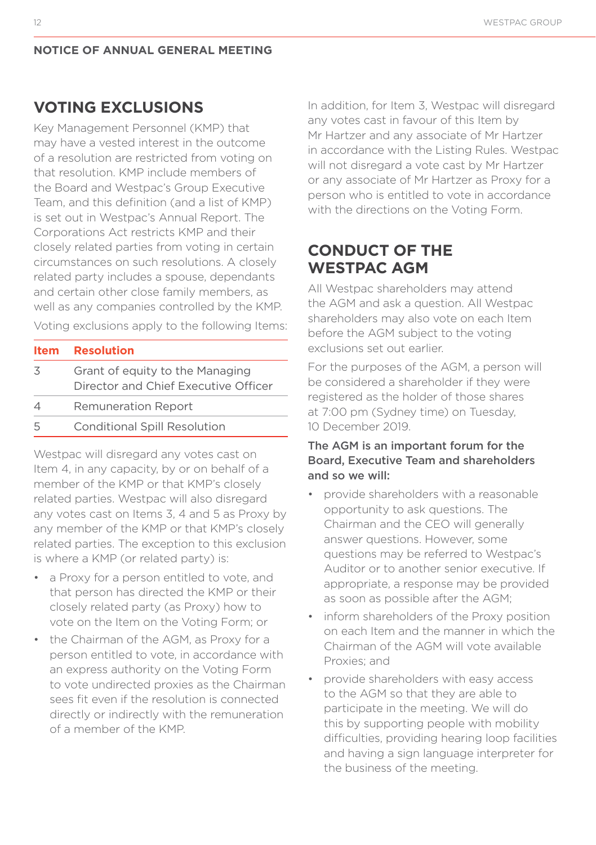# **VOTING EXCLUSIONS**

Key Management Personnel (KMP) that may have a vested interest in the outcome of a resolution are restricted from voting on that resolution. KMP include members of the Board and Westpac's Group Executive Team, and this definition (and a list of KMP) is set out in Westpac's Annual Report. The Corporations Act restricts KMP and their closely related parties from voting in certain circumstances on such resolutions. A closely related party includes a spouse, dependants and certain other close family members, as well as any companies controlled by the KMP.

Voting exclusions apply to the following Items:

|          | <b>Item Resolution</b>                                                  |
|----------|-------------------------------------------------------------------------|
| 3        | Grant of equity to the Managing<br>Director and Chief Executive Officer |
| $\Delta$ | <b>Remuneration Report</b>                                              |
|          |                                                                         |

5 Conditional Spill Resolution

Westpac will disregard any votes cast on Item 4, in any capacity, by or on behalf of a member of the KMP or that KMP's closely related parties. Westpac will also disregard any votes cast on Items 3, 4 and 5 as Proxy by any member of the KMP or that KMP's closely related parties. The exception to this exclusion is where a KMP (or related party) is:

- a Proxy for a person entitled to vote, and that person has directed the KMP or their closely related party (as Proxy) how to vote on the Item on the Voting Form; or
- the Chairman of the AGM, as Proxy for a person entitled to vote, in accordance with an express authority on the Voting Form to vote undirected proxies as the Chairman sees fit even if the resolution is connected directly or indirectly with the remuneration of a member of the KMP.

In addition, for Item 3, Westpac will disregard any votes cast in favour of this Item by Mr Hartzer and any associate of Mr Hartzer in accordance with the Listing Rules. Westpac will not disregard a vote cast by Mr Hartzer or any associate of Mr Hartzer as Proxy for a person who is entitled to vote in accordance with the directions on the Voting Form.

# **CONDUCT OF THE WESTPAC AGM**

All Westpac shareholders may attend the AGM and ask a question. All Westpac shareholders may also vote on each Item before the AGM subject to the voting exclusions set out earlier.

For the purposes of the AGM, a person will be considered a shareholder if they were registered as the holder of those shares at 7:00 pm (Sydney time) on Tuesday, 10 December 2019.

#### The AGM is an important forum for the Board, Executive Team and shareholders and so we will:

- provide shareholders with a reasonable opportunity to ask questions. The Chairman and the CEO will generally answer questions. However, some questions may be referred to Westpac's Auditor or to another senior executive. If appropriate, a response may be provided as soon as possible after the AGM;
- inform shareholders of the Proxy position on each Item and the manner in which the Chairman of the AGM will vote available Proxies; and
- provide shareholders with easy access to the AGM so that they are able to participate in the meeting. We will do this by supporting people with mobility difficulties, providing hearing loop facilities and having a sign language interpreter for the business of the meeting.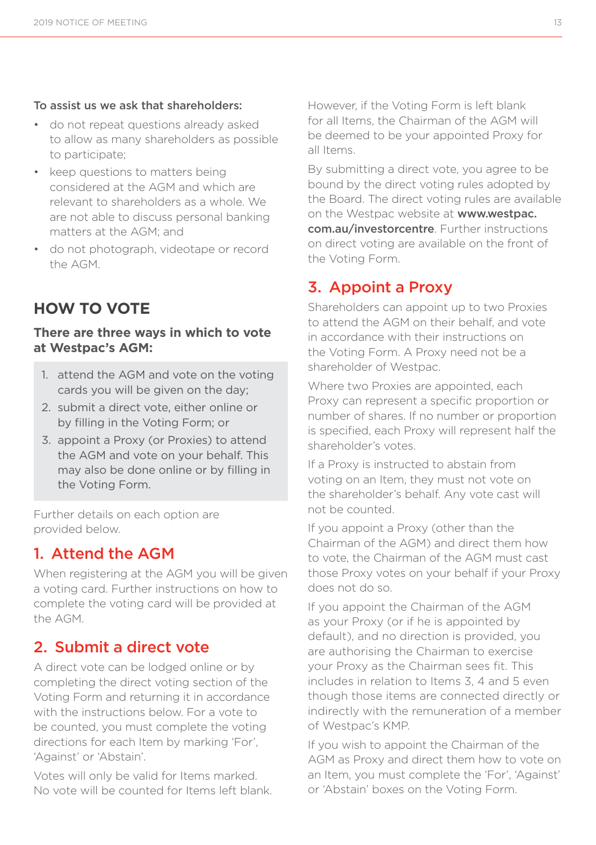#### To assist us we ask that shareholders:

- do not repeat questions already asked to allow as many shareholders as possible to participate;
- keep questions to matters being considered at the AGM and which are relevant to shareholders as a whole. We are not able to discuss personal banking matters at the AGM; and
- do not photograph, videotape or record the AGM.

# **HOW TO VOTE**

#### **There are three ways in which to vote at Westpac's AGM:**

- 1. attend the AGM and vote on the voting cards you will be given on the day;
- 2. submit a direct vote, either online or by filling in the Voting Form; or
- 3. appoint a Proxy (or Proxies) to attend the AGM and vote on your behalf. This may also be done online or by filling in the Voting Form.

Further details on each option are provided below.

# 1. Attend the AGM

When registering at the AGM you will be given a voting card. Further instructions on how to complete the voting card will be provided at the AGM.

# 2. Submit a direct vote

A direct vote can be lodged online or by completing the direct voting section of the Voting Form and returning it in accordance with the instructions below. For a vote to be counted, you must complete the voting directions for each Item by marking 'For', 'Against' or 'Abstain'.

Votes will only be valid for Items marked. No vote will be counted for Items left blank. However, if the Voting Form is left blank for all Items, the Chairman of the AGM will be deemed to be your appointed Proxy for all Items.

By submitting a direct vote, you agree to be bound by the direct voting rules adopted by the Board. The direct voting rules are available on the Westpac website at **www.westpac.** com.au/investorcentre. Further instructions on direct voting are available on the front of the Voting Form.

# 3. Appoint a Proxy

Shareholders can appoint up to two Proxies to attend the AGM on their behalf, and vote in accordance with their instructions on the Voting Form. A Proxy need not be a shareholder of Westpac.

Where two Proxies are appointed, each Proxy can represent a specific proportion or number of shares. If no number or proportion is specified, each Proxy will represent half the shareholder's votes.

If a Proxy is instructed to abstain from voting on an Item, they must not vote on the shareholder's behalf. Any vote cast will not be counted.

If you appoint a Proxy (other than the Chairman of the AGM) and direct them how to vote, the Chairman of the AGM must cast those Proxy votes on your behalf if your Proxy does not do so.

If you appoint the Chairman of the AGM as your Proxy (or if he is appointed by default), and no direction is provided, you are authorising the Chairman to exercise your Proxy as the Chairman sees fit. This includes in relation to Items 3, 4 and 5 even though those items are connected directly or indirectly with the remuneration of a member of Westpac's KMP.

If you wish to appoint the Chairman of the AGM as Proxy and direct them how to vote on an Item, you must complete the 'For', 'Against' or 'Abstain' boxes on the Voting Form.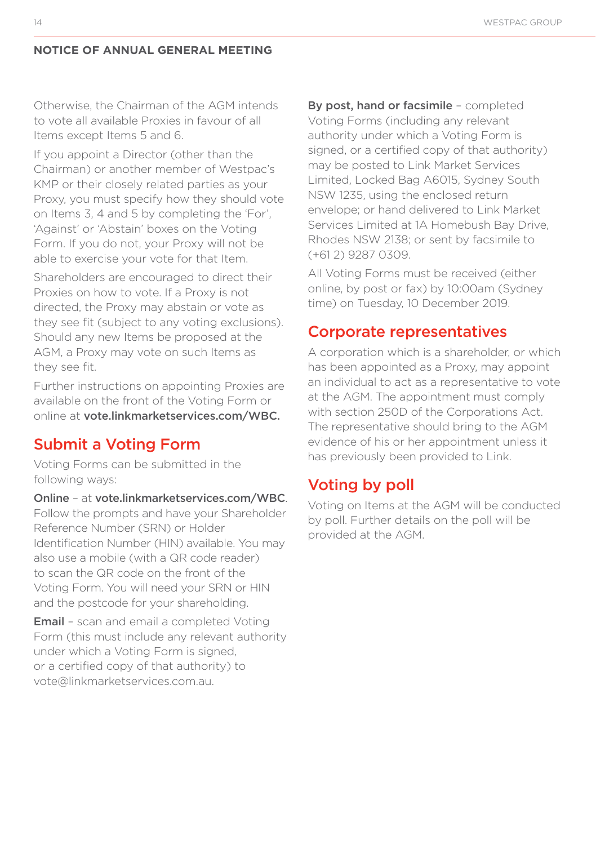Otherwise, the Chairman of the AGM intends to vote all available Proxies in favour of all Items except Items 5 and 6.

If you appoint a Director (other than the Chairman) or another member of Westpac's KMP or their closely related parties as your Proxy, you must specify how they should vote on Items 3, 4 and 5 by completing the 'For', 'Against' or 'Abstain' boxes on the Voting Form. If you do not, your Proxy will not be able to exercise your vote for that Item.

Shareholders are encouraged to direct their Proxies on how to vote. If a Proxy is not directed, the Proxy may abstain or vote as they see fit (subject to any voting exclusions). Should any new Items be proposed at the AGM, a Proxy may vote on such Items as they see fit.

Further instructions on appointing Proxies are available on the front of the Voting Form or online at vote.linkmarketservices.com/WBC.

# Submit a Voting Form

Voting Forms can be submitted in the following ways:

Online – at vote.linkmarketservices.com/WBC. Follow the prompts and have your Shareholder Reference Number (SRN) or Holder Identification Number (HIN) available. You may also use a mobile (with a QR code reader) to scan the QR code on the front of the Voting Form. You will need your SRN or HIN and the postcode for your shareholding.

Email – scan and email a completed Voting Form (this must include any relevant authority under which a Voting Form is signed, or a certified copy of that authority) to vote@linkmarketservices.com.au.

By post, hand or facsimile – completed Voting Forms (including any relevant authority under which a Voting Form is signed, or a certified copy of that authority) may be posted to Link Market Services Limited, Locked Bag A6015, Sydney South NSW 1235, using the enclosed return envelope; or hand delivered to Link Market Services Limited at 1A Homebush Bay Drive, Rhodes NSW 2138; or sent by facsimile to (+61 2) 9287 0309.

All Voting Forms must be received (either online, by post or fax) by 10:00am (Sydney time) on Tuesday, 10 December 2019.

#### Corporate representatives

A corporation which is a shareholder, or which has been appointed as a Proxy, may appoint an individual to act as a representative to vote at the AGM. The appointment must comply with section 250D of the Corporations Act. The representative should bring to the AGM evidence of his or her appointment unless it has previously been provided to Link.

# Voting by poll

Voting on Items at the AGM will be conducted by poll. Further details on the poll will be provided at the AGM.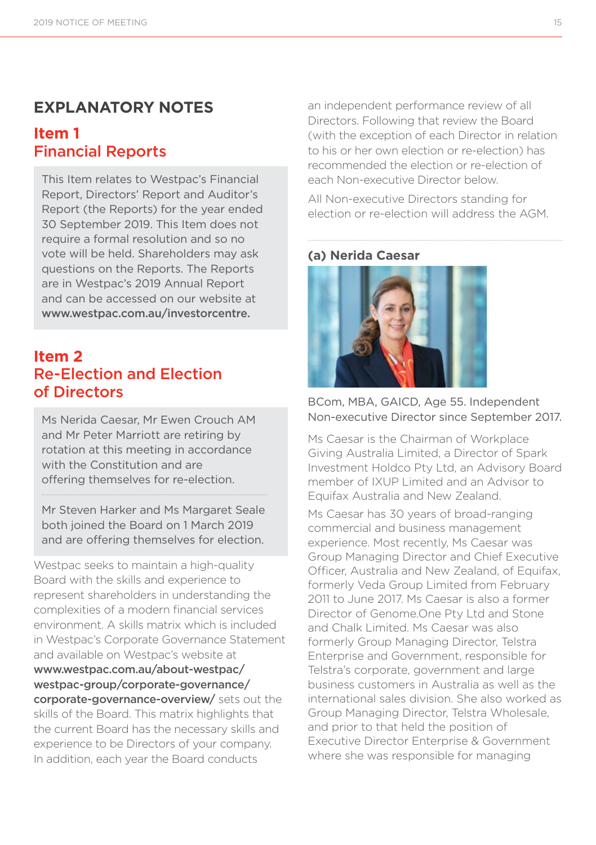# **EXPLANATORY NOTES**

# **Item 1**  Financial Reports

This Item relates to Westpac's Financial Report, Directors' Report and Auditor's Report (the Reports) for the year ended 30 September 2019. This Item does not require a formal resolution and so no vote will be held. Shareholders may ask questions on the Reports. The Reports are in Westpac's 2019 Annual Report and can be accessed on our website at www.westpac.com.au/investorcentre.

# **Item 2**  Re-Election and Election of Directors

Ms Nerida Caesar, Mr Ewen Crouch AM and Mr Peter Marriott are retiring by rotation at this meeting in accordance with the Constitution and are offering themselves for re-election.

Mr Steven Harker and Ms Margaret Seale both joined the Board on 1 March 2019 and are offering themselves for election.

Westpac seeks to maintain a high-quality Board with the skills and experience to represent shareholders in understanding the complexities of a modern financial services environment. A skills matrix which is included in Westpac's Corporate Governance Statement and available on Westpac's website at www.westpac.com.au/about-westpac/ westpac-group/corporate-governance/ corporate-governance-overview/ sets out the skills of the Board. This matrix highlights that the current Board has the necessary skills and experience to be Directors of your company. In addition, each year the Board conducts

an independent performance review of all Directors. Following that review the Board (with the exception of each Director in relation to his or her own election or re-election) has recommended the election or re-election of each Non-executive Director below.

All Non-executive Directors standing for election or re-election will address the AGM.

#### **(a) Nerida Caesar**



BCom, MBA, GAICD, Age 55. Independent Non-executive Director since September 2017.

Ms Caesar is the Chairman of Workplace Giving Australia Limited, a Director of Spark Investment Holdco Pty Ltd, an Advisory Board member of IXUP Limited and an Advisor to Equifax Australia and New Zealand.

Ms Caesar has 30 years of broad-ranging commercial and business management experience. Most recently, Ms Caesar was Group Managing Director and Chief Executive Officer, Australia and New Zealand, of Equifax, formerly Veda Group Limited from February 2011 to June 2017. Ms Caesar is also a former Director of Genome.One Pty Ltd and Stone and Chalk Limited. Ms Caesar was also formerly Group Managing Director, Telstra Enterprise and Government, responsible for Telstra's corporate, government and large business customers in Australia as well as the international sales division. She also worked as Group Managing Director, Telstra Wholesale, and prior to that held the position of Executive Director Enterprise & Government where she was responsible for managing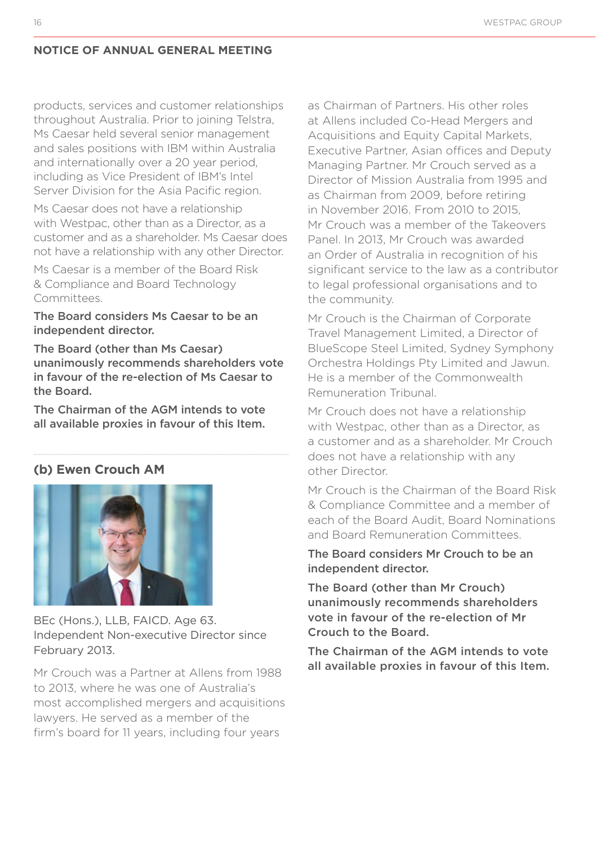products, services and customer relationships throughout Australia. Prior to joining Telstra, Ms Caesar held several senior management and sales positions with IBM within Australia and internationally over a 20 year period, including as Vice President of IBM's Intel Server Division for the Asia Pacific region.

Ms Caesar does not have a relationship with Westpac, other than as a Director, as a customer and as a shareholder. Ms Caesar does not have a relationship with any other Director.

Ms Caesar is a member of the Board Risk & Compliance and Board Technology Committees.

#### The Board considers Ms Caesar to be an independent director.

The Board (other than Ms Caesar) unanimously recommends shareholders vote in favour of the re-election of Ms Caesar to the Board.

The Chairman of the AGM intends to vote all available proxies in favour of this Item.

#### **(b) Ewen Crouch AM**



BEc (Hons.), LLB, FAICD. Age 63. Independent Non-executive Director since February 2013.

Mr Crouch was a Partner at Allens from 1988 to 2013, where he was one of Australia's most accomplished mergers and acquisitions lawyers. He served as a member of the firm's board for 11 years, including four years

as Chairman of Partners. His other roles at Allens included Co-Head Mergers and Acquisitions and Equity Capital Markets, Executive Partner, Asian offices and Deputy Managing Partner. Mr Crouch served as a Director of Mission Australia from 1995 and as Chairman from 2009, before retiring in November 2016. From 2010 to 2015, Mr Crouch was a member of the Takeovers Panel. In 2013, Mr Crouch was awarded an Order of Australia in recognition of his significant service to the law as a contributor to legal professional organisations and to the community.

Mr Crouch is the Chairman of Corporate Travel Management Limited, a Director of BlueScope Steel Limited, Sydney Symphony Orchestra Holdings Pty Limited and Jawun. He is a member of the Commonwealth Remuneration Tribunal.

Mr Crouch does not have a relationship with Westpac, other than as a Director, as a customer and as a shareholder. Mr Crouch does not have a relationship with any other Director.

Mr Crouch is the Chairman of the Board Risk & Compliance Committee and a member of each of the Board Audit, Board Nominations and Board Remuneration Committees.

The Board considers Mr Crouch to be an independent director.

The Board (other than Mr Crouch) unanimously recommends shareholders vote in favour of the re-election of Mr Crouch to the Board.

The Chairman of the AGM intends to vote all available proxies in favour of this Item.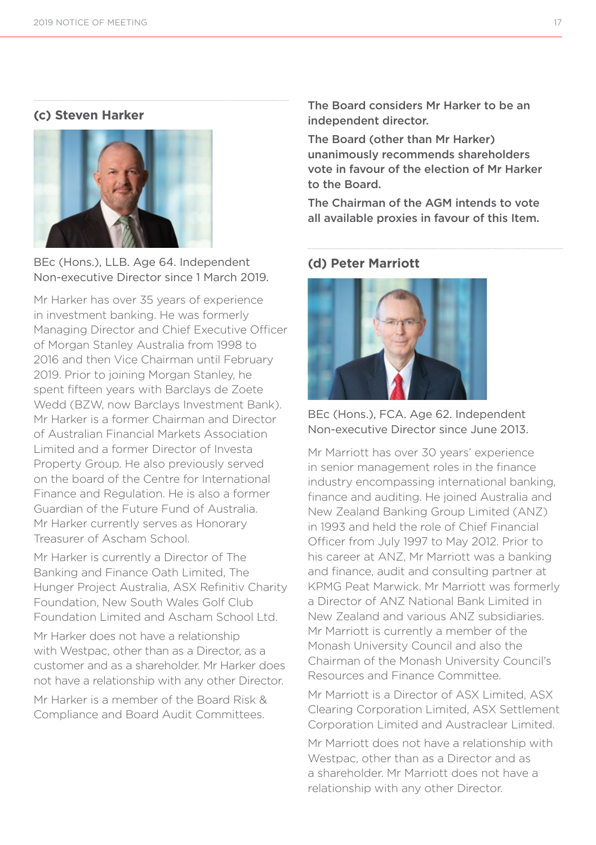#### **(c) Steven Harker**



BEc (Hons.), LLB. Age 64. Independent Non-executive Director since 1 March 2019.

Mr Harker has over 35 years of experience in investment banking. He was formerly Managing Director and Chief Executive Officer of Morgan Stanley Australia from 1998 to 2016 and then Vice Chairman until February 2019. Prior to joining Morgan Stanley, he spent fifteen years with Barclays de Zoete Wedd (BZW, now Barclays Investment Bank). Mr Harker is a former Chairman and Director of Australian Financial Markets Association Limited and a former Director of Investa Property Group. He also previously served on the board of the Centre for International Finance and Regulation. He is also a former Guardian of the Future Fund of Australia. Mr Harker currently serves as Honorary Treasurer of Ascham School.

Mr Harker is currently a Director of The Banking and Finance Oath Limited, The Hunger Project Australia, ASX Refinitiv Charity Foundation, New South Wales Golf Club Foundation Limited and Ascham School Ltd.

Mr Harker does not have a relationship with Westpac, other than as a Director, as a customer and as a shareholder. Mr Harker does not have a relationship with any other Director.

Mr Harker is a member of the Board Risk & Compliance and Board Audit Committees.

The Board considers Mr Harker to be an independent director.

The Board (other than Mr Harker) unanimously recommends shareholders vote in favour of the election of Mr Harker to the Board.

The Chairman of the AGM intends to vote all available proxies in favour of this Item.

#### **(d) Peter Marriott**



BEc (Hons.), FCA. Age 62. Independent Non-executive Director since June 2013.

Mr Marriott has over 30 years' experience in senior management roles in the finance industry encompassing international banking, finance and auditing. He joined Australia and New Zealand Banking Group Limited (ANZ) in 1993 and held the role of Chief Financial Officer from July 1997 to May 2012. Prior to his career at ANZ, Mr Marriott was a banking and finance, audit and consulting partner at KPMG Peat Marwick. Mr Marriott was formerly a Director of ANZ National Bank Limited in New Zealand and various ANZ subsidiaries. Mr Marriott is currently a member of the Monash University Council and also the Chairman of the Monash University Council's Resources and Finance Committee.

Mr Marriott is a Director of ASX Limited, ASX Clearing Corporation Limited, ASX Settlement Corporation Limited and Austraclear Limited.

Mr Marriott does not have a relationship with Westpac, other than as a Director and as a shareholder. Mr Marriott does not have a relationship with any other Director.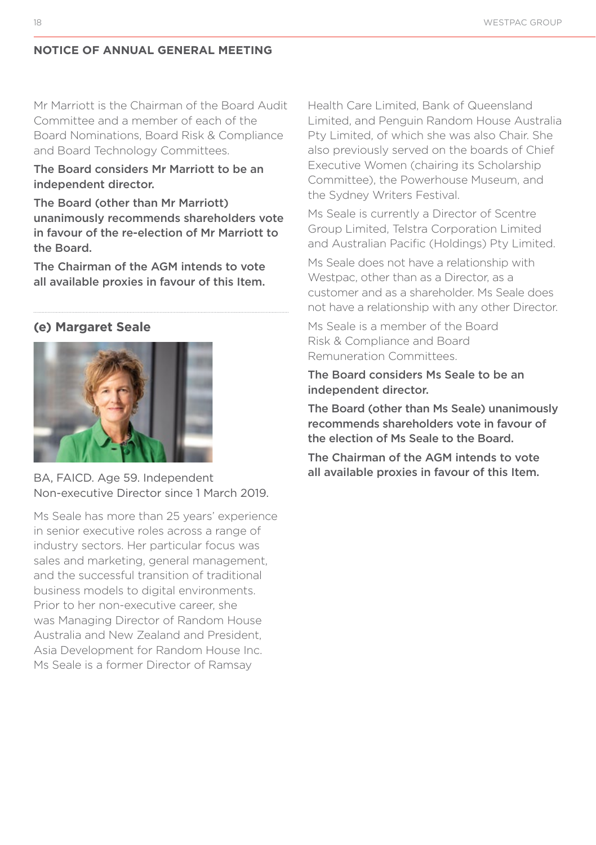Mr Marriott is the Chairman of the Board Audit Committee and a member of each of the Board Nominations, Board Risk & Compliance and Board Technology Committees.

#### The Board considers Mr Marriott to be an independent director.

The Board (other than Mr Marriott) unanimously recommends shareholders vote in favour of the re-election of Mr Marriott to the Board.

The Chairman of the AGM intends to vote all available proxies in favour of this Item.

#### **(e) Margaret Seale**



BA, FAICD. Age 59. Independent Non-executive Director since 1 March 2019.

Ms Seale has more than 25 years' experience in senior executive roles across a range of industry sectors. Her particular focus was sales and marketing, general management, and the successful transition of traditional business models to digital environments. Prior to her non-executive career, she was Managing Director of Random House Australia and New Zealand and President, Asia Development for Random House Inc. Ms Seale is a former Director of Ramsay

Health Care Limited, Bank of Queensland Limited, and Penguin Random House Australia Pty Limited, of which she was also Chair. She also previously served on the boards of Chief Executive Women (chairing its Scholarship Committee), the Powerhouse Museum, and the Sydney Writers Festival.

Ms Seale is currently a Director of Scentre Group Limited, Telstra Corporation Limited and Australian Pacific (Holdings) Pty Limited.

Ms Seale does not have a relationship with Westpac, other than as a Director, as a customer and as a shareholder. Ms Seale does not have a relationship with any other Director.

Ms Seale is a member of the Board Risk & Compliance and Board Remuneration Committees.

The Board considers Ms Seale to be an independent director.

The Board (other than Ms Seale) unanimously recommends shareholders vote in favour of the election of Ms Seale to the Board.

The Chairman of the AGM intends to vote all available proxies in favour of this Item.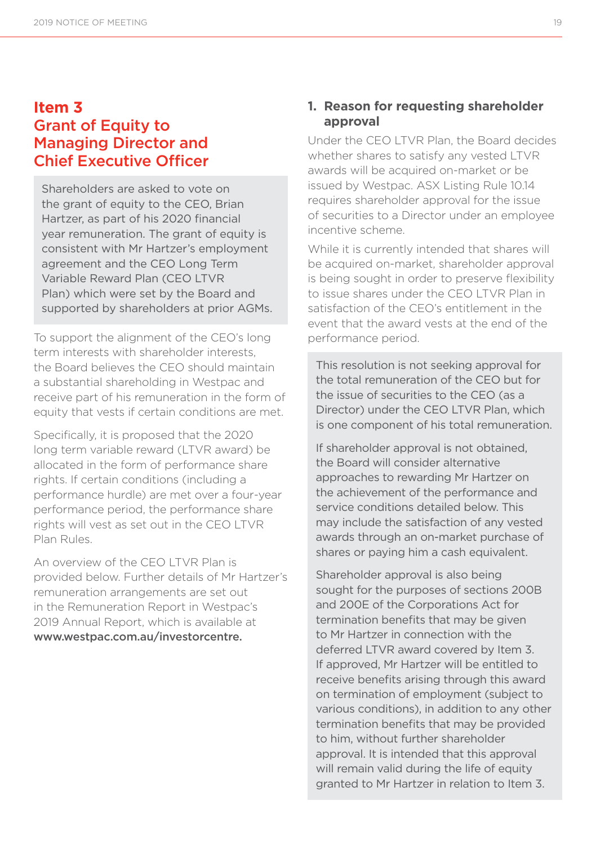# **Item 3**  Grant of Equity to Managing Director and Chief Executive Officer

Shareholders are asked to vote on the grant of equity to the CEO. Brian Hartzer, as part of his 2020 financial year remuneration. The grant of equity is consistent with Mr Hartzer's employment agreement and the CEO Long Term Variable Reward Plan (CEO LTVR Plan) which were set by the Board and supported by shareholders at prior AGMs.

To support the alignment of the CEO's long term interests with shareholder interests the Board believes the CEO should maintain a substantial shareholding in Westpac and receive part of his remuneration in the form of equity that vests if certain conditions are met.

Specifically, it is proposed that the 2020 long term variable reward (LTVR award) be allocated in the form of performance share rights. If certain conditions (including a performance hurdle) are met over a four-year performance period, the performance share rights will vest as set out in the CEO LTVR Plan Rules.

An overview of the CEO LTVR Plan is provided below. Further details of Mr Hartzer's remuneration arrangements are set out in the Remuneration Report in Westpac's 2019 Annual Report, which is available at www.westpac.com.au/investorcentre.

#### **1. Reason for requesting shareholder approval**

Under the CEO LTVR Plan, the Board decides whether shares to satisfy any vested LTVR awards will be acquired on-market or be issued by Westpac. ASX Listing Rule 10.14 requires shareholder approval for the issue of securities to a Director under an employee incentive scheme.

While it is currently intended that shares will be acquired on-market, shareholder approval is being sought in order to preserve flexibility to issue shares under the CEO LTVR Plan in satisfaction of the CEO's entitlement in the event that the award vests at the end of the performance period.

This resolution is not seeking approval for the total remuneration of the CEO but for the issue of securities to the CEO (as a Director) under the CEO LTVR Plan, which is one component of his total remuneration.

If shareholder approval is not obtained, the Board will consider alternative approaches to rewarding Mr Hartzer on the achievement of the performance and service conditions detailed below. This may include the satisfaction of any vested awards through an on-market purchase of shares or paying him a cash equivalent.

Shareholder approval is also being sought for the purposes of sections 200B and 200E of the Corporations Act for termination benefits that may be given to Mr Hartzer in connection with the deferred LTVR award covered by Item 3. If approved, Mr Hartzer will be entitled to receive benefits arising through this award on termination of employment (subject to various conditions), in addition to any other termination benefits that may be provided to him, without further shareholder approval. It is intended that this approval will remain valid during the life of equity granted to Mr Hartzer in relation to Item 3.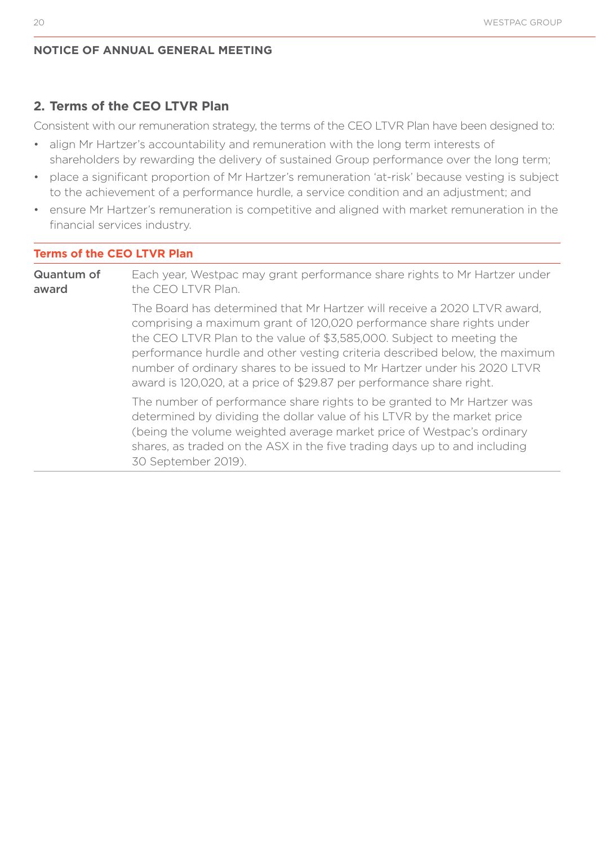#### **2. Terms of the CEO LTVR Plan**

Consistent with our remuneration strategy, the terms of the CEO LTVR Plan have been designed to:

- align Mr Hartzer's accountability and remuneration with the long term interests of shareholders by rewarding the delivery of sustained Group performance over the long term;
- place a significant proportion of Mr Hartzer's remuneration 'at-risk' because vesting is subject to the achievement of a performance hurdle, a service condition and an adjustment; and
- ensure Mr Hartzer's remuneration is competitive and aligned with market remuneration in the financial services industry.

#### **Terms of the CEO LTVR Plan**

Quantum of award Each year, Westpac may grant performance share rights to Mr Hartzer under the CEO LTVR Plan. The Board has determined that Mr Hartzer will receive a 2020 LTVR award, comprising a maximum grant of 120,020 performance share rights under the CEO LTVR Plan to the value of \$3,585,000. Subject to meeting the performance hurdle and other vesting criteria described below, the maximum number of ordinary shares to be issued to Mr Hartzer under his 2020 LTVR award is 120,020, at a price of \$29.87 per performance share right. The number of performance share rights to be granted to Mr Hartzer was determined by dividing the dollar value of his LTVR by the market price (being the volume weighted average market price of Westpac's ordinary shares, as traded on the ASX in the five trading days up to and including 30 September 2019).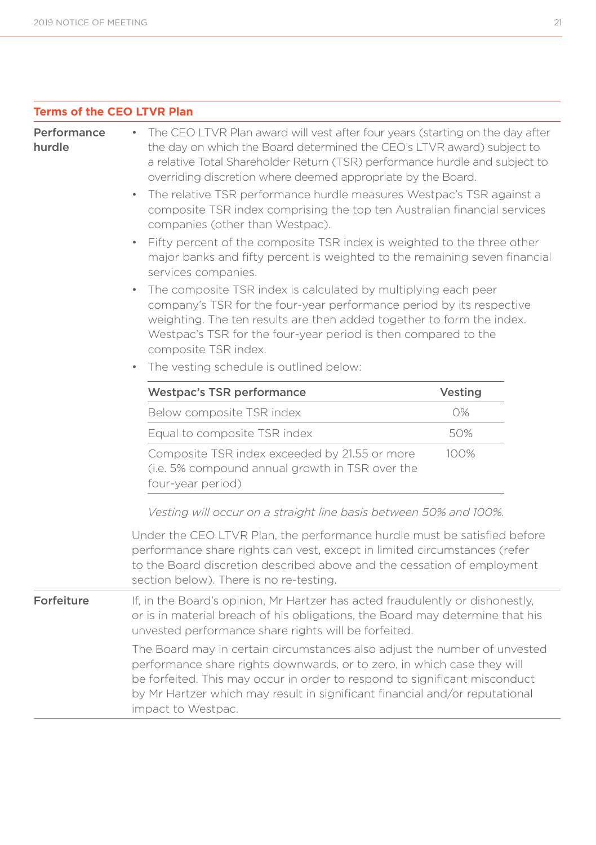|  | <b>Terms of the CEO LTVR Plan</b> |  |  |  |  |  |
|--|-----------------------------------|--|--|--|--|--|
|--|-----------------------------------|--|--|--|--|--|

| Performa |  |  |
|----------|--|--|
| hurdle   |  |  |

ince • The CEO LTVR Plan award will vest after four years (starting on the day after the day on which the Board determined the CEO's LTVR award) subject to a relative Total Shareholder Return (TSR) performance hurdle and subject to overriding discretion where deemed appropriate by the Board.

- The relative TSR performance hurdle measures Westpac's TSR against a composite TSR index comprising the top ten Australian financial services companies (other than Westpac).
- Fifty percent of the composite TSR index is weighted to the three other major banks and fifty percent is weighted to the remaining seven financial services companies.
- The composite TSR index is calculated by multiplying each peer company's TSR for the four-year performance period by its respective weighting. The ten results are then added together to form the index. Westpac's TSR for the four-year period is then compared to the composite TSR index.
- The vesting schedule is outlined below:

| <b>Westpac's TSR performance</b>                                                                                      | Vesting |
|-----------------------------------------------------------------------------------------------------------------------|---------|
| Below composite TSR index                                                                                             | 0%      |
| Equal to composite TSR index                                                                                          | 50%     |
| Composite TSR index exceeded by 21.55 or more<br>(i.e. 5% compound annual growth in TSR over the<br>four-year period) | $100\%$ |

*Vesting will occur on a straight line basis between 50% and 100%.*

|            | Under the CEO LTVR Plan, the performance hurdle must be satisfied before<br>performance share rights can vest, except in limited circumstances (refer<br>to the Board discretion described above and the cessation of employment<br>section below). There is no re-testing.                                       |
|------------|-------------------------------------------------------------------------------------------------------------------------------------------------------------------------------------------------------------------------------------------------------------------------------------------------------------------|
| Forfeiture | If, in the Board's opinion, Mr Hartzer has acted fraudulently or dishonestly,<br>or is in material breach of his obligations, the Board may determine that his<br>unvested performance share rights will be forfeited.                                                                                            |
|            | The Board may in certain circumstances also adjust the number of unvested<br>performance share rights downwards, or to zero, in which case they will<br>be forfeited. This may occur in order to respond to significant misconduct<br>by Mr Hartzer which may result in significant financial and/or reputational |

impact to Westpac.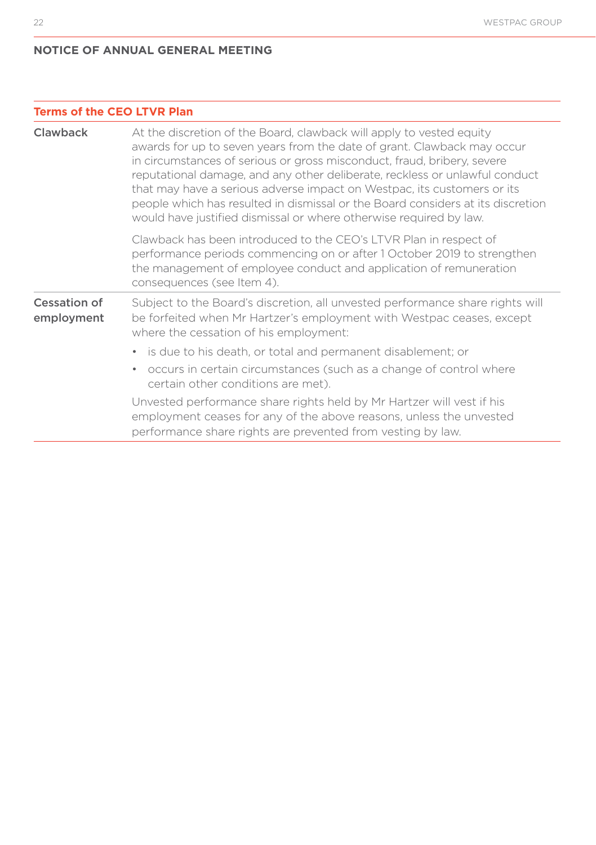#### **Terms of the CEO LTVR Plan**

| Clawback                   | At the discretion of the Board, clawback will apply to vested equity<br>awards for up to seven years from the date of grant. Clawback may occur<br>in circumstances of serious or gross misconduct, fraud, bribery, severe<br>reputational damage, and any other deliberate, reckless or unlawful conduct<br>that may have a serious adverse impact on Westpac, its customers or its<br>people which has resulted in dismissal or the Board considers at its discretion<br>would have justified dismissal or where otherwise required by law. |
|----------------------------|-----------------------------------------------------------------------------------------------------------------------------------------------------------------------------------------------------------------------------------------------------------------------------------------------------------------------------------------------------------------------------------------------------------------------------------------------------------------------------------------------------------------------------------------------|
|                            | Clawback has been introduced to the CEO's LTVR Plan in respect of<br>performance periods commencing on or after 1 October 2019 to strengthen<br>the management of employee conduct and application of remuneration<br>consequences (see Item 4).                                                                                                                                                                                                                                                                                              |
| Cessation of<br>employment | Subject to the Board's discretion, all unvested performance share rights will<br>be forfeited when Mr Hartzer's employment with Westpac ceases, except<br>where the cessation of his employment:                                                                                                                                                                                                                                                                                                                                              |
|                            | • is due to his death, or total and permanent disablement; or                                                                                                                                                                                                                                                                                                                                                                                                                                                                                 |
|                            | occurs in certain circumstances (such as a change of control where<br>$\bullet$<br>certain other conditions are met).                                                                                                                                                                                                                                                                                                                                                                                                                         |
|                            | Unvested performance share rights held by Mr Hartzer will vest if his<br>employment ceases for any of the above reasons, unless the unvested<br>performance share rights are prevented from vesting by law.                                                                                                                                                                                                                                                                                                                                   |
|                            |                                                                                                                                                                                                                                                                                                                                                                                                                                                                                                                                               |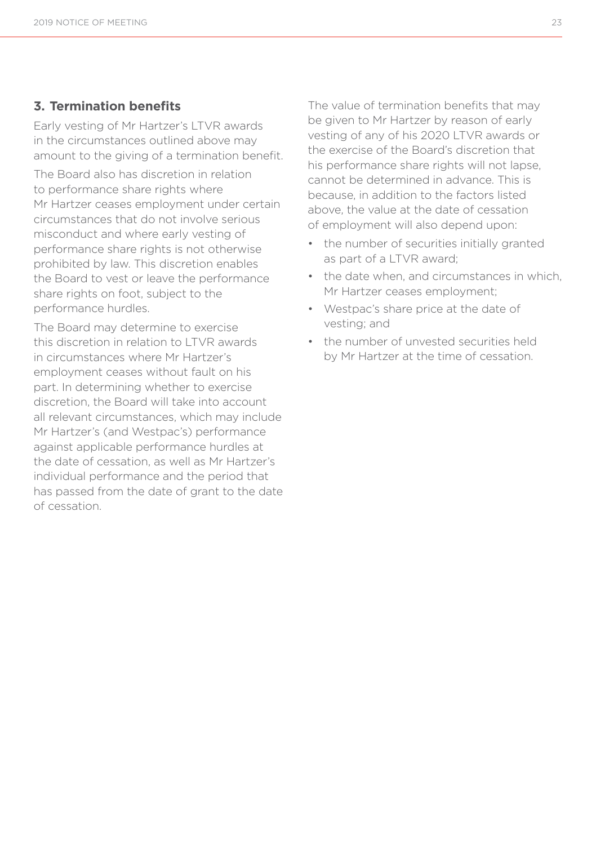#### **3. Termination benefits**

Early vesting of Mr Hartzer's LTVR awards in the circumstances outlined above may amount to the giving of a termination benefit.

The Board also has discretion in relation to performance share rights where Mr Hartzer ceases employment under certain circumstances that do not involve serious misconduct and where early vesting of performance share rights is not otherwise prohibited by law. This discretion enables the Board to vest or leave the performance share rights on foot, subject to the performance hurdles.

The Board may determine to exercise this discretion in relation to LTVR awards in circumstances where Mr Hartzer's employment ceases without fault on his part. In determining whether to exercise discretion, the Board will take into account all relevant circumstances, which may include Mr Hartzer's (and Westpac's) performance against applicable performance hurdles at the date of cessation, as well as Mr Hartzer's individual performance and the period that has passed from the date of grant to the date of cessation.

The value of termination benefits that may be given to Mr Hartzer by reason of early vesting of any of his 2020 LTVR awards or the exercise of the Board's discretion that his performance share rights will not lapse, cannot be determined in advance. This is because, in addition to the factors listed above, the value at the date of cessation of employment will also depend upon:

- the number of securities initially granted as part of a LTVR award;
- the date when, and circumstances in which Mr Hartzer ceases employment;
- Westpac's share price at the date of vesting; and
- the number of unvested securities held by Mr Hartzer at the time of cessation.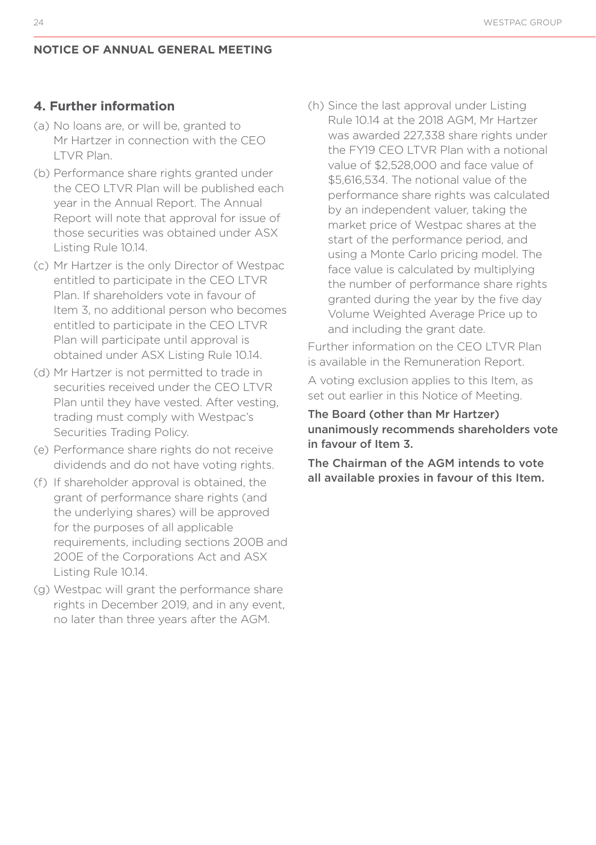#### **4. Further information**

- (a) No loans are, or will be, granted to Mr Hartzer in connection with the CEO LTVR Plan.
- (b) Performance share rights granted under the CEO LTVR Plan will be published each year in the Annual Report. The Annual Report will note that approval for issue of those securities was obtained under ASX Listing Rule 10.14.
- (c) Mr Hartzer is the only Director of Westpac entitled to participate in the CEO LTVR Plan. If shareholders vote in favour of Item 3, no additional person who becomes entitled to participate in the CEO LTVR Plan will participate until approval is obtained under ASX Listing Rule 10.14.
- (d) Mr Hartzer is not permitted to trade in securities received under the CEO LTVR Plan until they have vested. After vesting, trading must comply with Westpac's Securities Trading Policy.
- (e) Performance share rights do not receive dividends and do not have voting rights.
- (f) If shareholder approval is obtained, the grant of performance share rights (and the underlying shares) will be approved for the purposes of all applicable requirements, including sections 200B and 200E of the Corporations Act and ASX Listing Rule 10.14.
- (g) Westpac will grant the performance share rights in December 2019, and in any event, no later than three years after the AGM.

(h) Since the last approval under Listing Rule 10.14 at the 2018 AGM, Mr Hartzer was awarded 227,338 share rights under the FY19 CEO LTVR Plan with a notional value of \$2,528,000 and face value of \$5,616,534. The notional value of the performance share rights was calculated by an independent valuer, taking the market price of Westpac shares at the start of the performance period, and using a Monte Carlo pricing model. The face value is calculated by multiplying the number of performance share rights granted during the year by the five day Volume Weighted Average Price up to and including the grant date.

Further information on the CEO LTVR Plan is available in the Remuneration Report.

A voting exclusion applies to this Item, as set out earlier in this Notice of Meeting.

The Board (other than Mr Hartzer) unanimously recommends shareholders vote in favour of Item 3.

The Chairman of the AGM intends to vote all available proxies in favour of this Item.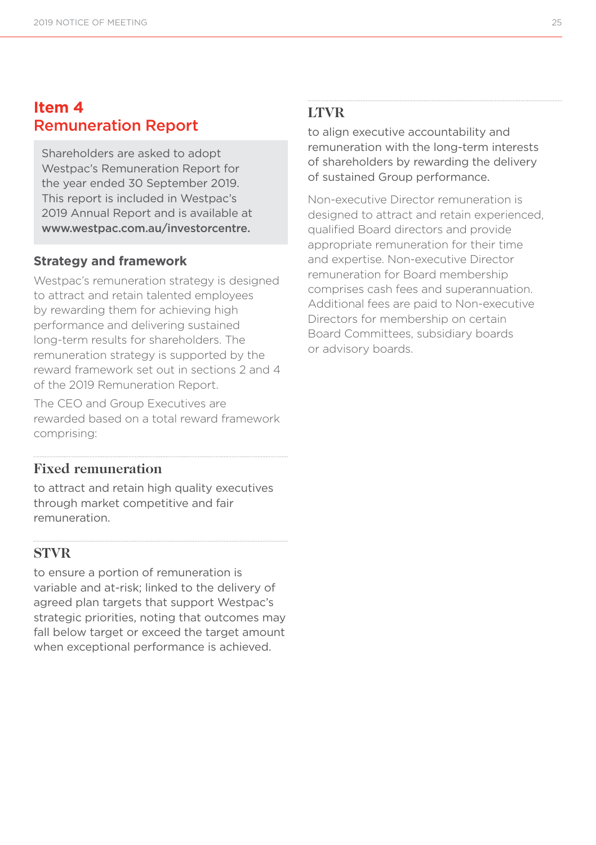# **Item 4** Remuneration Report

Shareholders are asked to adopt Westpac's Remuneration Report for the year ended 30 September 2019. This report is included in Westpac's 2019 Annual Report and is available at www.westpac.com.au/investorcentre.

#### **Strategy and framework**

Westpac's remuneration strategy is designed to attract and retain talented employees by rewarding them for achieving high performance and delivering sustained long-term results for shareholders. The remuneration strategy is supported by the reward framework set out in sections 2 and 4 of the 2019 Remuneration Report.

The CEO and Group Executives are rewarded based on a total reward framework comprising:

#### **Fixed remuneration**

to attract and retain high quality executives through market competitive and fair remuneration.

#### **STVR**

to ensure a portion of remuneration is variable and at-risk; linked to the delivery of agreed plan targets that support Westpac's strategic priorities, noting that outcomes may fall below target or exceed the target amount when exceptional performance is achieved.

#### **LTVR**

to align executive accountability and remuneration with the long-term interests of shareholders by rewarding the delivery of sustained Group performance.

Non-executive Director remuneration is designed to attract and retain experienced, qualified Board directors and provide appropriate remuneration for their time and expertise. Non-executive Director remuneration for Board membership comprises cash fees and superannuation. Additional fees are paid to Non-executive Directors for membership on certain Board Committees, subsidiary boards or advisory boards.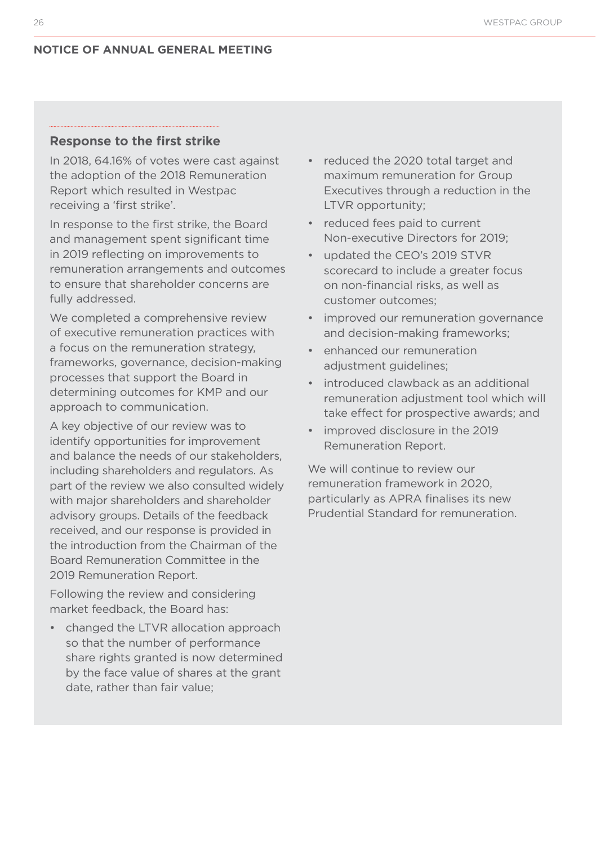#### **Response to the first strike**

In 2018, 64.16% of votes were cast against the adoption of the 2018 Remuneration Report which resulted in Westpac receiving a 'first strike'.

In response to the first strike, the Board and management spent significant time in 2019 reflecting on improvements to remuneration arrangements and outcomes to ensure that shareholder concerns are fully addressed.

We completed a comprehensive review of executive remuneration practices with a focus on the remuneration strategy, frameworks, governance, decision-making processes that support the Board in determining outcomes for KMP and our approach to communication.

A key objective of our review was to identify opportunities for improvement and balance the needs of our stakeholders, including shareholders and regulators. As part of the review we also consulted widely with major shareholders and shareholder advisory groups. Details of the feedback received, and our response is provided in the introduction from the Chairman of the Board Remuneration Committee in the 2019 Remuneration Report.

Following the review and considering market feedback, the Board has:

• changed the LTVR allocation approach so that the number of performance share rights granted is now determined by the face value of shares at the grant date, rather than fair value;

- reduced the 2020 total target and maximum remuneration for Group Executives through a reduction in the LTVR opportunity;
- reduced fees paid to current Non-executive Directors for 2019;
- updated the CEO's 2019 STVR scorecard to include a greater focus on non-financial risks, as well as customer outcomes;
- improved our remuneration governance and decision-making frameworks;
- enhanced our remuneration adjustment quidelines:
- introduced clawback as an additional remuneration adjustment tool which will take effect for prospective awards; and
- improved disclosure in the 2019 Remuneration Report.

We will continue to review our remuneration framework in 2020, particularly as APRA finalises its new Prudential Standard for remuneration.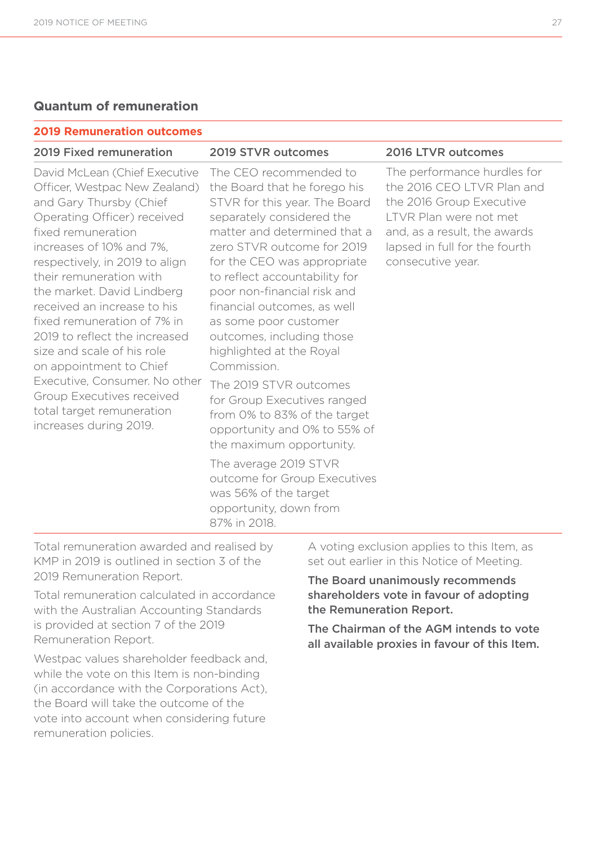#### **Quantum of remuneration**

#### **2019 Remuneration outcomes**

#### 2019 Fixed remuneration 2019 STVR outcomes 2016 LTVR outcomes

David McLean (Chief Executive Officer, Westpac New Zealand) and Gary Thursby (Chief Operating Officer) received fixed remuneration increases of 10% and 7%, respectively, in 2019 to align their remuneration with the market. David Lindberg received an increase to his fixed remuneration of 7% in 2019 to reflect the increased size and scale of his role on appointment to Chief Executive, Consumer. No other Group Executives received total target remuneration increases during 2019.

The CEO recommended to the Board that he forego his STVR for this year. The Board separately considered the matter and determined that a zero STVR outcome for 2019 for the CEO was appropriate to reflect accountability for poor non-financial risk and financial outcomes, as well as some poor customer outcomes, including those highlighted at the Royal Commission.

The 2019 STVR outcomes for Group Executives ranged from 0% to 83% of the target opportunity and 0% to 55% of the maximum opportunity.

The average 2019 STVR outcome for Group Executives was 56% of the target opportunity, down from 87% in 2018.

The performance hurdles for the 2016 CEO LTVR Plan and the 2016 Group Executive LTVR Plan were not met and, as a result, the awards lapsed in full for the fourth consecutive year.

Total remuneration awarded and realised by KMP in 2019 is outlined in section 3 of the 2019 Remuneration Report.

Total remuneration calculated in accordance with the Australian Accounting Standards is provided at section 7 of the 2019 Remuneration Report.

Westpac values shareholder feedback and, while the vote on this Item is non-binding (in accordance with the Corporations Act), the Board will take the outcome of the vote into account when considering future remuneration policies.

A voting exclusion applies to this Item, as set out earlier in this Notice of Meeting.

The Board unanimously recommends shareholders vote in favour of adopting the Remuneration Report.

The Chairman of the AGM intends to vote all available proxies in favour of this Item.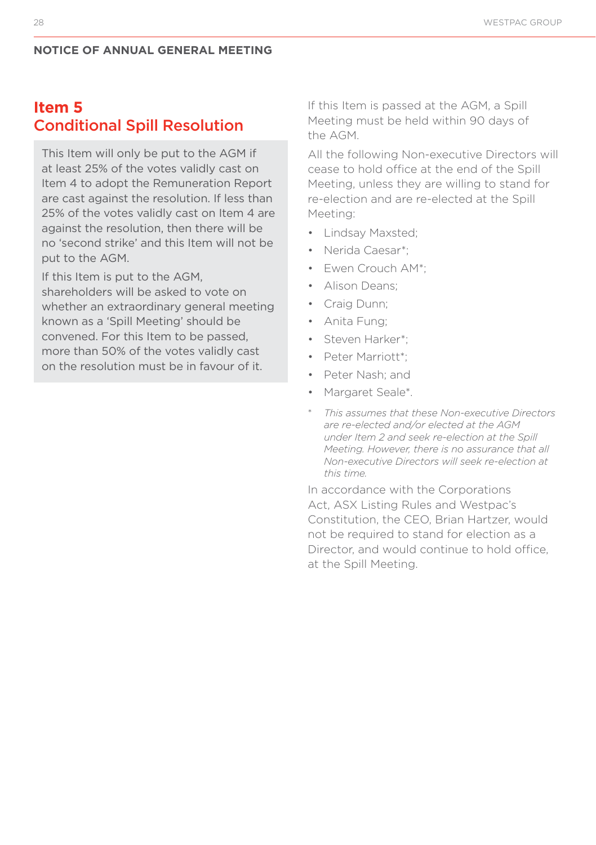# **Item 5**  Conditional Spill Resolution

This Item will only be put to the AGM if at least 25% of the votes validly cast on Item 4 to adopt the Remuneration Report are cast against the resolution. If less than 25% of the votes validly cast on Item 4 are against the resolution, then there will be no 'second strike' and this Item will not be put to the AGM.

If this Item is put to the AGM, shareholders will be asked to vote on whether an extraordinary general meeting known as a 'Spill Meeting' should be convened. For this Item to be passed, more than 50% of the votes validly cast on the resolution must be in favour of it.

If this Item is passed at the AGM, a Spill Meeting must be held within 90 days of the AGM.

All the following Non-executive Directors will cease to hold office at the end of the Spill Meeting, unless they are willing to stand for re-election and are re-elected at the Spill Meeting:

- Lindsay Maxsted;
- Nerida Caesar\*;
- Ewen Crouch AM\*;
- Alison Deans;
- Craig Dunn;
- Anita Fung;
- Steven Harker\*;
- Peter Marriott\*;
- Peter Nash; and
- Margaret Seale\*.
- \* *This assumes that these Non-executive Directors are re-elected and/or elected at the AGM under Item 2 and seek re-election at the Spill Meeting. However, there is no assurance that all Non-executive Directors will seek re-election at this time.*

In accordance with the Corporations Act, ASX Listing Rules and Westpac's Constitution, the CEO, Brian Hartzer, would not be required to stand for election as a Director, and would continue to hold office, at the Spill Meeting.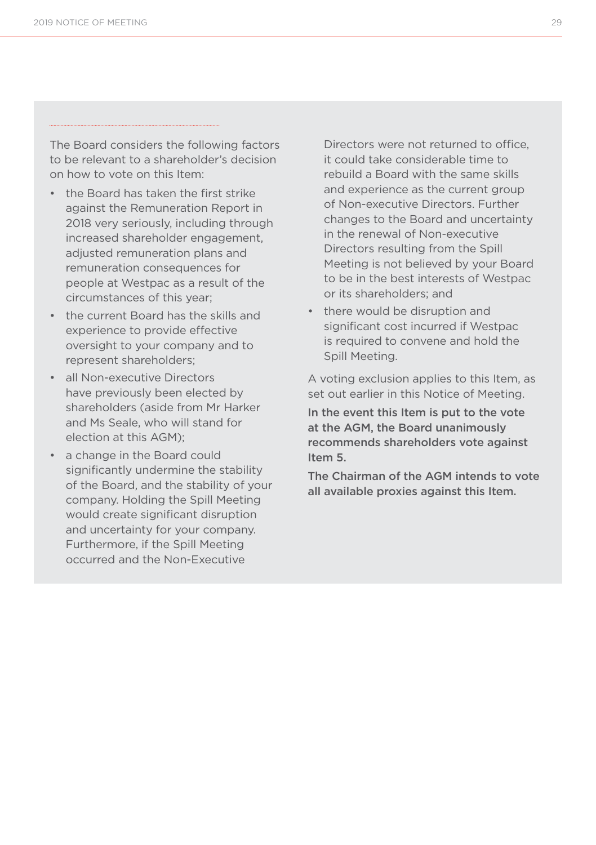The Board considers the following factors to be relevant to a shareholder's decision on how to vote on this Item:

- the Board has taken the first strike against the Remuneration Report in 2018 very seriously, including through increased shareholder engagement, adjusted remuneration plans and remuneration consequences for people at Westpac as a result of the circumstances of this year;
- the current Board has the skills and experience to provide effective oversight to your company and to represent shareholders;
- all Non-executive Directors have previously been elected by shareholders (aside from Mr Harker and Ms Seale, who will stand for election at this AGM);
- a change in the Board could significantly undermine the stability of the Board, and the stability of your company. Holding the Spill Meeting would create significant disruption and uncertainty for your company. Furthermore, if the Spill Meeting occurred and the Non-Executive

Directors were not returned to office, it could take considerable time to rebuild a Board with the same skills and experience as the current group of Non-executive Directors. Further changes to the Board and uncertainty in the renewal of Non-executive Directors resulting from the Spill Meeting is not believed by your Board to be in the best interests of Westpac or its shareholders; and

• there would be disruption and significant cost incurred if Westpac is required to convene and hold the Spill Meeting.

A voting exclusion applies to this Item, as set out earlier in this Notice of Meeting.

In the event this Item is put to the vote at the AGM, the Board unanimously recommends shareholders vote against Item 5.

The Chairman of the AGM intends to vote all available proxies against this Item.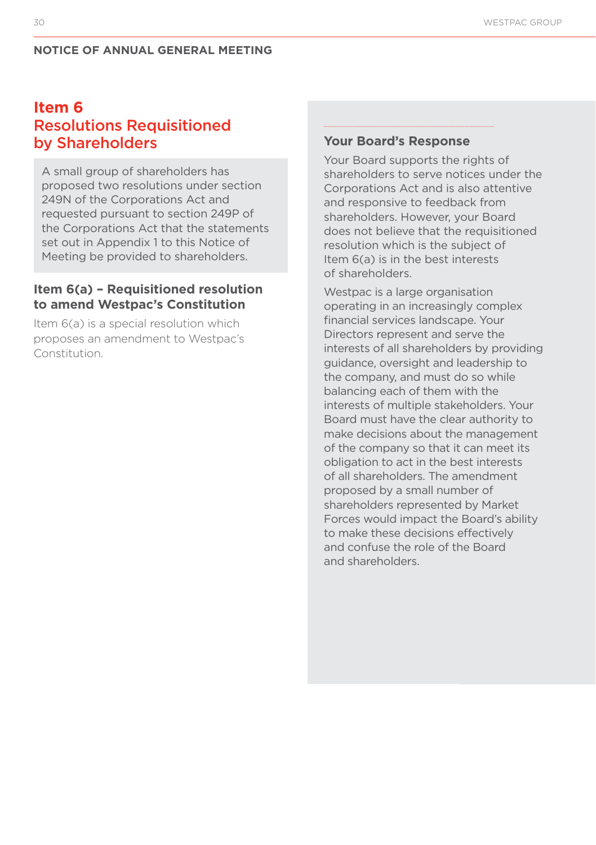# **Item 6** Resolutions Requisitioned by Shareholders

A small group of shareholders has proposed two resolutions under section 249N of the Corporations Act and requested pursuant to section 249P of the Corporations Act that the statements set out in Appendix 1 to this Notice of Meeting be provided to shareholders.

#### **Item 6(a) – Requisitioned resolution to amend Westpac's Constitution**

Item 6(a) is a special resolution which proposes an amendment to Westpac's Constitution.

#### **Your Board's Response**

Your Board supports the rights of shareholders to serve notices under the Corporations Act and is also attentive and responsive to feedback from shareholders. However, your Board does not believe that the requisitioned resolution which is the subject of Item 6(a) is in the best interests of shareholders.

Westpac is a large organisation operating in an increasingly complex financial services landscape. Your Directors represent and serve the interests of all shareholders by providing guidance, oversight and leadership to the company, and must do so while balancing each of them with the interests of multiple stakeholders. Your Board must have the clear authority to make decisions about the management of the company so that it can meet its obligation to act in the best interests of all shareholders. The amendment proposed by a small number of shareholders represented by Market Forces would impact the Board's ability to make these decisions effectively and confuse the role of the Board and shareholders.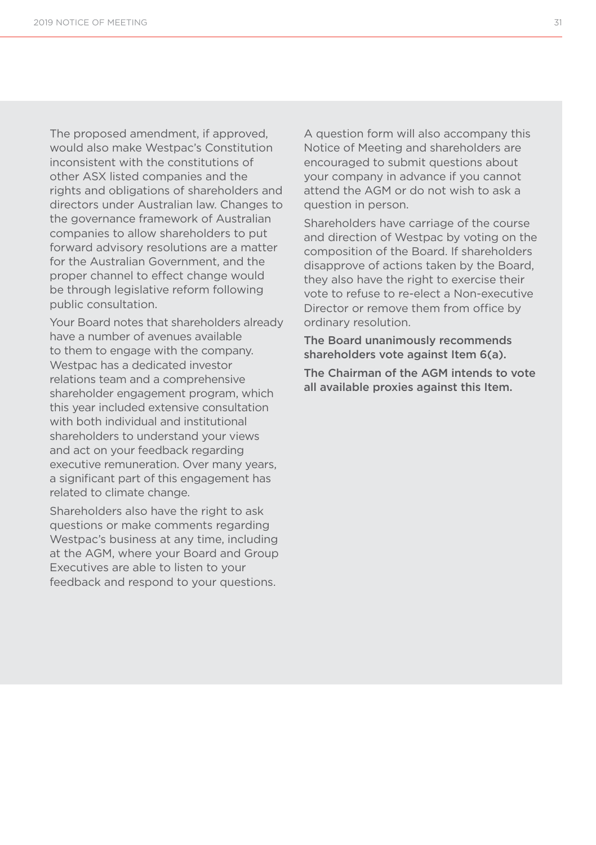The proposed amendment, if approved, would also make Westpac's Constitution inconsistent with the constitutions of other ASX listed companies and the rights and obligations of shareholders and directors under Australian law. Changes to the governance framework of Australian companies to allow shareholders to put forward advisory resolutions are a matter for the Australian Government, and the proper channel to effect change would be through legislative reform following public consultation.

Your Board notes that shareholders already have a number of avenues available to them to engage with the company. Westpac has a dedicated investor relations team and a comprehensive shareholder engagement program, which this year included extensive consultation with both individual and institutional shareholders to understand your views and act on your feedback regarding executive remuneration. Over many years, a significant part of this engagement has related to climate change.

Shareholders also have the right to ask questions or make comments regarding Westpac's business at any time, including at the AGM, where your Board and Group Executives are able to listen to your feedback and respond to your questions.

A question form will also accompany this Notice of Meeting and shareholders are encouraged to submit questions about your company in advance if you cannot attend the AGM or do not wish to ask a question in person.

Shareholders have carriage of the course and direction of Westpac by voting on the composition of the Board. If shareholders disapprove of actions taken by the Board, they also have the right to exercise their vote to refuse to re-elect a Non-executive Director or remove them from office by ordinary resolution.

The Board unanimously recommends shareholders vote against Item 6(a).

The Chairman of the AGM intends to vote all available proxies against this Item.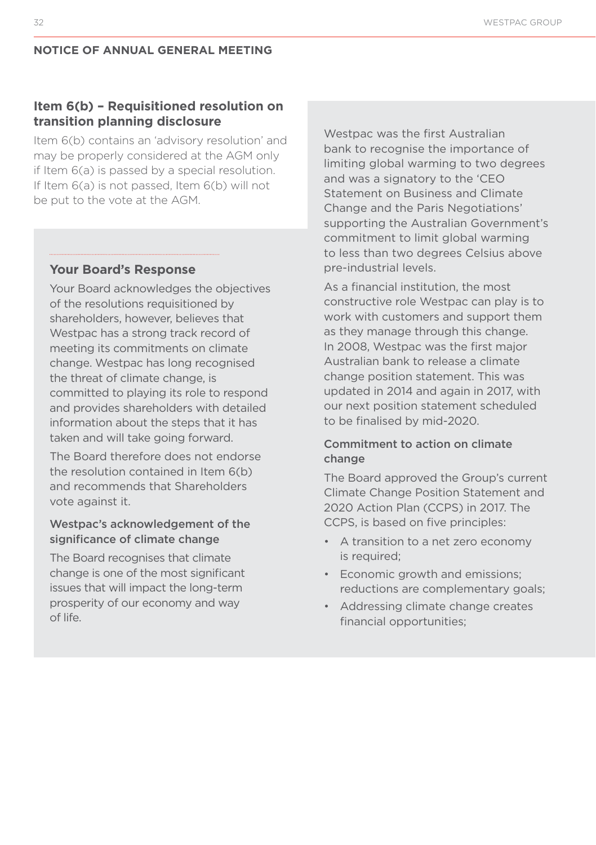#### **Item 6(b) – Requisitioned resolution on transition planning disclosure**

Item 6(b) contains an 'advisory resolution' and may be properly considered at the AGM only if Item 6(a) is passed by a special resolution. If Item 6(a) is not passed, Item 6(b) will not be put to the vote at the AGM.

#### **Your Board's Response**

Your Board acknowledges the objectives of the resolutions requisitioned by shareholders, however, believes that Westpac has a strong track record of meeting its commitments on climate change. Westpac has long recognised the threat of climate change, is committed to playing its role to respond and provides shareholders with detailed information about the steps that it has taken and will take going forward.

The Board therefore does not endorse the resolution contained in Item 6(b) and recommends that Shareholders vote against it.

#### Westpac's acknowledgement of the significance of climate change

The Board recognises that climate change is one of the most significant issues that will impact the long-term prosperity of our economy and way of life.

Westpac was the first Australian bank to recognise the importance of limiting global warming to two degrees and was a signatory to the 'CEO Statement on Business and Climate Change and the Paris Negotiations' supporting the Australian Government's commitment to limit global warming to less than two degrees Celsius above pre-industrial levels.

As a financial institution, the most constructive role Westpac can play is to work with customers and support them as they manage through this change. In 2008, Westpac was the first major Australian bank to release a climate change position statement. This was updated in 2014 and again in 2017, with our next position statement scheduled to be finalised by mid-2020.

#### Commitment to action on climate change

The Board approved the Group's current Climate Change Position Statement and 2020 Action Plan (CCPS) in 2017. The CCPS, is based on five principles:

- A transition to a net zero economy is required;
- Economic growth and emissions; reductions are complementary goals;
- Addressing climate change creates financial opportunities;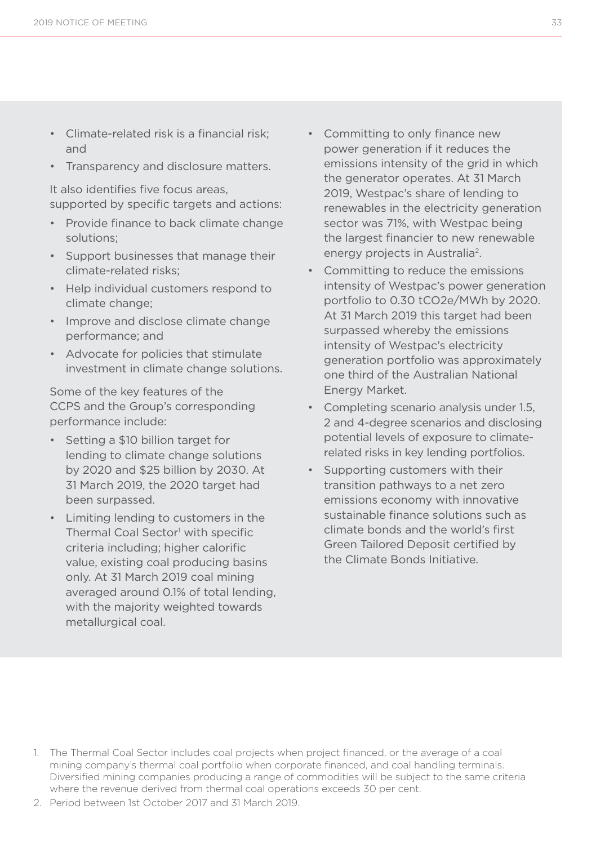- Climate-related risk is a financial risk; and
- Transparency and disclosure matters.

It also identifies five focus areas, supported by specific targets and actions:

- Provide finance to back climate change solutions;
- Support businesses that manage their climate-related risks;
- Help individual customers respond to climate change;
- Improve and disclose climate change performance; and
- Advocate for policies that stimulate investment in climate change solutions.

Some of the key features of the CCPS and the Group's corresponding performance include:

- Setting a \$10 billion target for lending to climate change solutions by 2020 and \$25 billion by 2030. At 31 March 2019, the 2020 target had been surpassed.
- Limiting lending to customers in the Thermal Coal Sector<sup>1</sup> with specific criteria including; higher calorific value, existing coal producing basins only. At 31 March 2019 coal mining averaged around 0.1% of total lending, with the majority weighted towards metallurgical coal.
- Committing to only finance new power generation if it reduces the emissions intensity of the grid in which the generator operates. At 31 March 2019, Westpac's share of lending to renewables in the electricity generation sector was 71%, with Westpac being the largest financier to new renewable energy projects in Australia2.
- Committing to reduce the emissions intensity of Westpac's power generation portfolio to 0.30 tCO2e/MWh by 2020. At 31 March 2019 this target had been surpassed whereby the emissions intensity of Westpac's electricity generation portfolio was approximately one third of the Australian National Energy Market.
- Completing scenario analysis under 1.5, 2 and 4-degree scenarios and disclosing potential levels of exposure to climaterelated risks in key lending portfolios.
- Supporting customers with their transition pathways to a net zero emissions economy with innovative sustainable finance solutions such as climate bonds and the world's first Green Tailored Deposit certified by the Climate Bonds Initiative.

- 1. The Thermal Coal Sector includes coal projects when project financed, or the average of a coal mining company's thermal coal portfolio when corporate financed, and coal handling terminals. Diversified mining companies producing a range of commodities will be subject to the same criteria where the revenue derived from thermal coal operations exceeds 30 per cent.
- 2. Period between 1st October 2017 and 31 March 2019.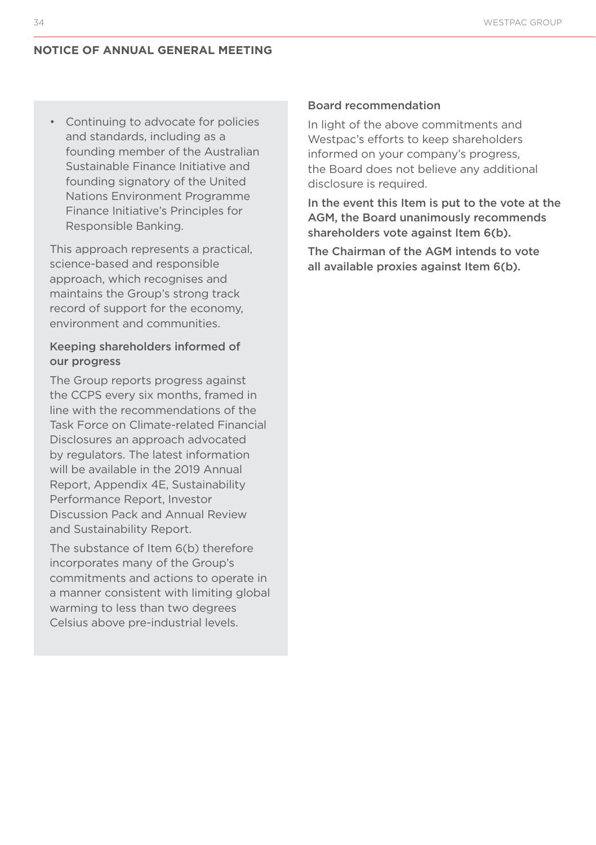• Continuing to advocate for policies and standards, including as a founding member of the Australian Sustainable Finance Initiative and founding signatory of the United Nations Environment Programme Finance Initiative's Principles for Responsible Banking.

This approach represents a practical, science-based and responsible approach, which recognises and maintains the Group's strong track record of support for the economy, environment and communities.

#### Keeping shareholders informed of our progress

The Group reports progress against the CCPS every six months, framed in line with the recommendations of the Task Force on Climate-related Financial Disclosures an approach advocated by regulators. The latest information will be available in the 2019 Annual Report, Appendix 4E, Sustainability Performance Report, Investor Discussion Pack and Annual Review and Sustainability Report.

The substance of Item 6(b) therefore incorporates many of the Group's commitments and actions to operate in a manner consistent with limiting global warming to less than two degrees Celsius above pre-industrial levels.

#### Board recommendation

In light of the above commitments and Westpac's efforts to keep shareholders informed on your company's progress, the Board does not believe any additional disclosure is required.

In the event this Item is put to the vote at the AGM, the Board unanimously recommends shareholders vote against Item 6(b).

The Chairman of the AGM intends to vote all available proxies against Item 6(b).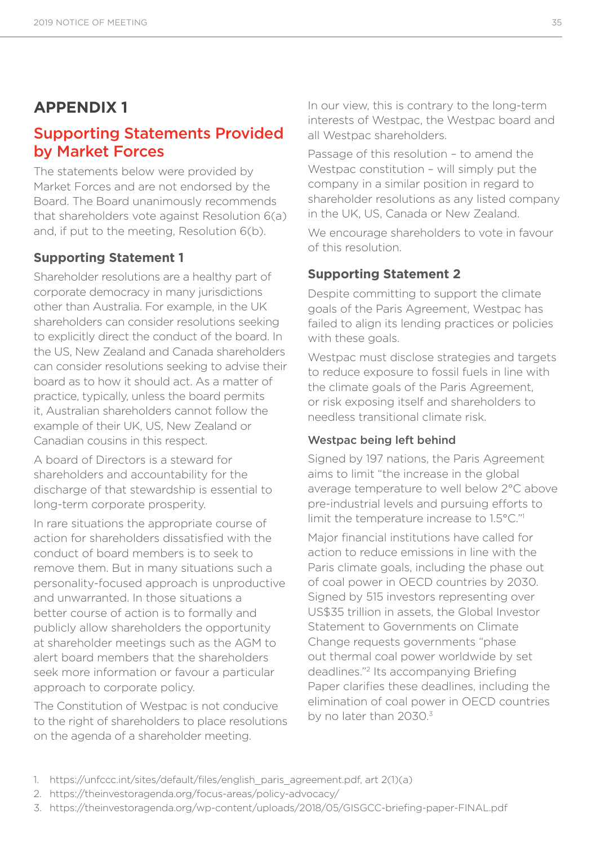# **APPENDIX 1**

# Supporting Statements Provided by Market Forces

The statements below were provided by Market Forces and are not endorsed by the Board. The Board unanimously recommends that shareholders vote against Resolution 6(a) and, if put to the meeting, Resolution 6(b).

#### **Supporting Statement 1**

Shareholder resolutions are a healthy part of corporate democracy in many jurisdictions other than Australia. For example, in the UK shareholders can consider resolutions seeking to explicitly direct the conduct of the board. In the US, New Zealand and Canada shareholders can consider resolutions seeking to advise their board as to how it should act. As a matter of practice, typically, unless the board permits it, Australian shareholders cannot follow the example of their UK, US, New Zealand or Canadian cousins in this respect.

A board of Directors is a steward for shareholders and accountability for the discharge of that stewardship is essential to long-term corporate prosperity.

In rare situations the appropriate course of action for shareholders dissatisfied with the conduct of board members is to seek to remove them. But in many situations such a personality-focused approach is unproductive and unwarranted. In those situations a better course of action is to formally and publicly allow shareholders the opportunity at shareholder meetings such as the AGM to alert board members that the shareholders seek more information or favour a particular approach to corporate policy.

The Constitution of Westpac is not conducive to the right of shareholders to place resolutions on the agenda of a shareholder meeting.

In our view, this is contrary to the long-term interests of Westpac, the Westpac board and all Westpac shareholders.

Passage of this resolution – to amend the Westpac constitution – will simply put the company in a similar position in regard to shareholder resolutions as any listed company in the UK, US, Canada or New Zealand.

We encourage shareholders to vote in favour of this resolution.

#### **Supporting Statement 2**

Despite committing to support the climate goals of the Paris Agreement, Westpac has failed to align its lending practices or policies with these goals.

Westpac must disclose strategies and targets to reduce exposure to fossil fuels in line with the climate goals of the Paris Agreement, or risk exposing itself and shareholders to needless transitional climate risk.

#### Westpac being left behind

Signed by 197 nations, the Paris Agreement aims to limit "the increase in the global average temperature to well below 2°C above pre-industrial levels and pursuing efforts to limit the temperature increase to 1.5°C."1

Major financial institutions have called for action to reduce emissions in line with the Paris climate goals, including the phase out of coal power in OECD countries by 2030. Signed by 515 investors representing over US\$35 trillion in assets, the Global Investor Statement to Governments on Climate Change requests governments "phase out thermal coal power worldwide by set deadlines."2 Its accompanying Briefing Paper clarifies these deadlines, including the elimination of coal power in OECD countries by no later than 2030.3

- 1. https://unfccc.int/sites/default/files/english\_paris\_agreement.pdf, art 2(1)(a)
- 2. https://theinvestoragenda.org/focus-areas/policy-advocacy/
- 3. https://theinvestoragenda.org/wp-content/uploads/2018/05/GISGCC-briefing-paper-FINAL.pdf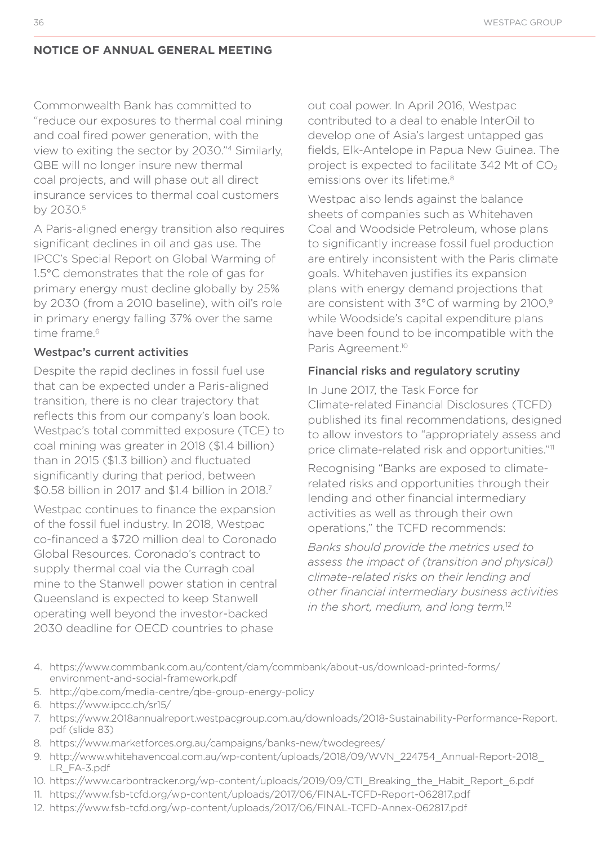Commonwealth Bank has committed to "reduce our exposures to thermal coal mining and coal fired power generation, with the view to exiting the sector by 2030."4 Similarly, QBE will no longer insure new thermal coal projects, and will phase out all direct insurance services to thermal coal customers by 2030.5

A Paris-aligned energy transition also requires significant declines in oil and gas use. The IPCC's Special Report on Global Warming of 1.5°C demonstrates that the role of gas for primary energy must decline globally by 25% by 2030 (from a 2010 baseline), with oil's role in primary energy falling 37% over the same time frame<sup>6</sup>

#### Westpac's current activities

Despite the rapid declines in fossil fuel use that can be expected under a Paris-aligned transition, there is no clear trajectory that reflects this from our company's loan book. Westpac's total committed exposure (TCE) to coal mining was greater in 2018 (\$1.4 billion) than in 2015 (\$1.3 billion) and fluctuated significantly during that period, between \$0.58 billion in 2017 and \$1.4 billion in 2018.7

Westpac continues to finance the expansion of the fossil fuel industry. In 2018, Westpac co-financed a \$720 million deal to Coronado Global Resources. Coronado's contract to supply thermal coal via the Curragh coal mine to the Stanwell power station in central Queensland is expected to keep Stanwell operating well beyond the investor-backed 2030 deadline for OECD countries to phase

out coal power. In April 2016, Westpac contributed to a deal to enable lnterOil to develop one of Asia's largest untapped gas fields, Elk-Antelope in Papua New Guinea. The project is expected to facilitate  $342$  Mt of  $CO<sub>2</sub>$ emissions over its lifetime.<sup>8</sup>

Westpac also lends against the balance sheets of companies such as Whitehaven Coal and Woodside Petroleum, whose plans to significantly increase fossil fuel production are entirely inconsistent with the Paris climate goals. Whitehaven justifies its expansion plans with energy demand projections that are consistent with 3°C of warming by 2100.9 while Woodside's capital expenditure plans have been found to be incompatible with the Paris Agreement.<sup>10</sup>

#### Financial risks and regulatory scrutiny

In June 2017, the Task Force for Climate-related Financial Disclosures (TCFD) published its final recommendations, designed to allow investors to "appropriately assess and price climate-related risk and opportunities."11

Recognising "Banks are exposed to climaterelated risks and opportunities through their lending and other financial intermediary activities as well as through their own operations," the TCFD recommends:

*Banks should provide the metrics used to assess the impact of (transition and physical) climate-related risks on their lending and other financial intermediary business activities in the short, medium, and long term.*<sup>12</sup>

- 4. https://www.commbank.com.au/content/dam/commbank/about-us/download-printed-forms/ environment-and-social-framework.pdf
- 5. http://qbe.com/media-centre/qbe-group-energy-policy
- 6. https://www.ipcc.ch/sr15/
- 7. https://www.2018annualreport.westpacgroup.com.au/downloads/2018-Sustainability-Performance-Report. pdf (slide 83)
- 8. https://www.marketforces.org.au/campaigns/banks-new/twodegrees/
- 9. http://www.whitehavencoal.com.au/wp-content/uploads/2018/09/WVN\_224754\_Annual-Report-2018\_ LR\_FA-3.pdf
- 10. https://www.carbontracker.org/wp-content/uploads/2019/09/CTI\_Breaking\_the\_Habit\_Report\_6.pdf
- 11. https://www.fsb-tcfd.org/wp-content/uploads/2017/06/FINAL-TCFD-Report-062817.pdf
- 12. https://www.fsb-tcfd.org/wp-content/uploads/2017/06/FINAL-TCFD-Annex-062817.pdf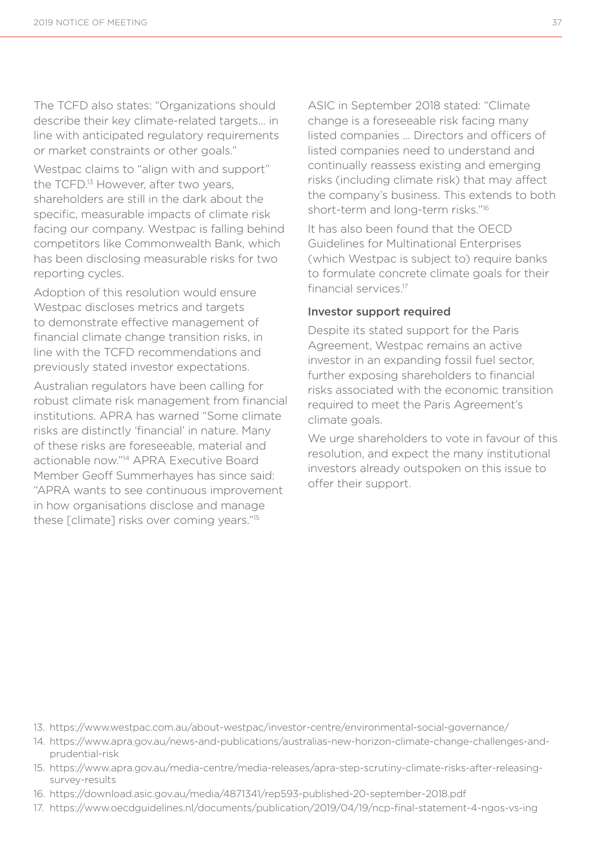The TCFD also states: "Organizations should describe their key climate-related targets... in line with anticipated regulatory requirements or market constraints or other goals."

Westpac claims to "align with and support" the TCFD.<sup>13</sup> However, after two vears, shareholders are still in the dark about the specific, measurable impacts of climate risk facing our company. Westpac is falling behind competitors like Commonwealth Bank, which has been disclosing measurable risks for two reporting cycles.

Adoption of this resolution would ensure Westpac discloses metrics and targets to demonstrate effective management of financial climate change transition risks, in line with the TCFD recommendations and previously stated investor expectations.

Australian regulators have been calling for robust climate risk management from financial institutions. APRA has warned "Some climate risks are distinctly 'financial' in nature. Many of these risks are foreseeable, material and actionable now."14 APRA Executive Board Member Geoff Summerhayes has since said: "APRA wants to see continuous improvement in how organisations disclose and manage these [climate] risks over coming years."15

ASIC in September 2018 stated: "Climate change is a foreseeable risk facing many listed companies ... Directors and officers of listed companies need to understand and continually reassess existing and emerging risks (including climate risk) that may affect the company's business. This extends to both short-term and long-term risks."16

It has also been found that the OECD Guidelines for Multinational Enterprises (which Westpac is subject to) require banks to formulate concrete climate goals for their financial services<sup>17</sup>

#### Investor support required

Despite its stated support for the Paris Agreement, Westpac remains an active investor in an expanding fossil fuel sector further exposing shareholders to financial risks associated with the economic transition required to meet the Paris Agreement's climate goals.

We urge shareholders to vote in favour of this resolution, and expect the many institutional investors already outspoken on this issue to offer their support.

- 13. https://www.westpac.com.au/about-westpac/investor-centre/environmental-social-governance/
- 14. https://www.apra.gov.au/news-and-publications/australias-new-horizon-climate-change-challenges-andprudential-risk
- 15. https://www.apra.gov.au/media-centre/media-releases/apra-step-scrutiny-climate-risks-after-releasingsurvey-results
- 16. https://download.asic.gov.au/media/4871341/rep593-published-20-september-2018.pdf
- 17. https://www.oecdguidelines.nl/documents/publication/2019/04/19/ncp-final-statement-4-ngos-vs-ing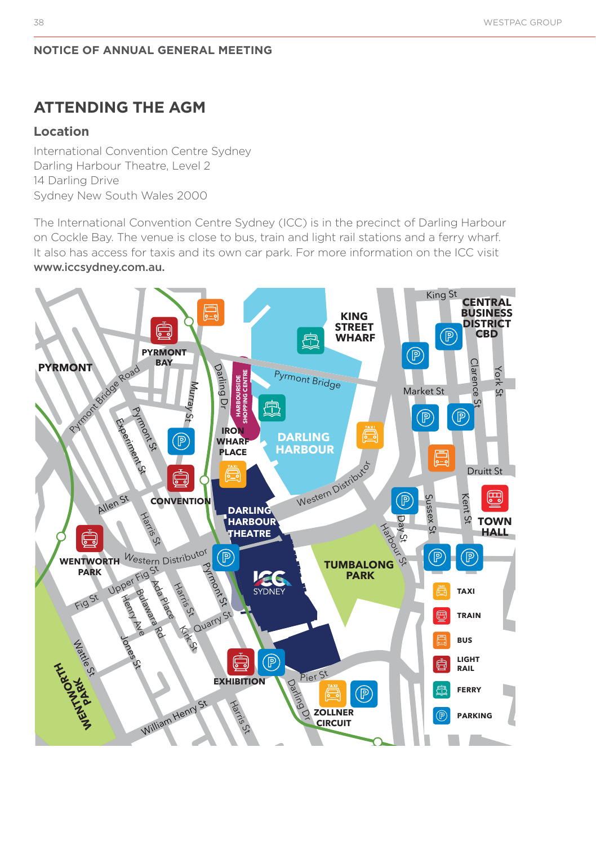# **ATTENDING THE AGM**

#### **Location**

<u>International Convention Centre Sydney</u> Darling Harbour Theatre, Level 2 14 Darling Drive Sydney New South Wales 2000 on Cer<br>re, Lev<br><sub>I</sub>les 20

The International Convention Centre Sydney (ICC) is in the precinct of Darling Harbour In the international convention centre syaricy (i.e.) is in the predirect of Barling narbodi<br>on Cockle Bay. The venue is close to bus, train and light rail stations and a ferry wharf. It also has access for taxis and its own car park. For more information on the ICC visit www.iccsydney.com.au. bus, train ar they New South Wales 2000<br>Elinternational Convention Centre Sydney (ICC) is in the precinct of Darling<br>Cockle Bay. The venue is close to bus, train and light rail stations and a ferry

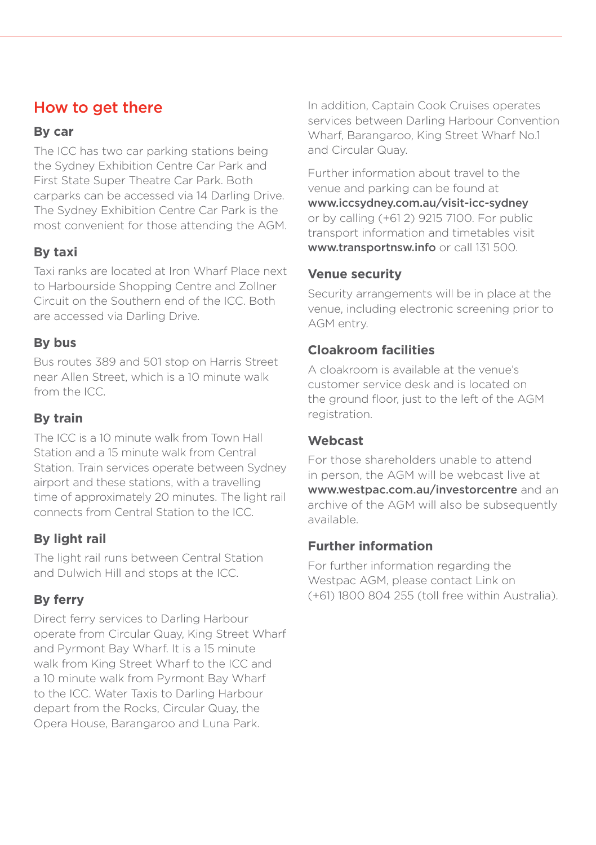# How to get there

#### **By car**

The ICC has two car parking stations being the Sydney Exhibition Centre Car Park and First State Super Theatre Car Park. Both carparks can be accessed via 14 Darling Drive. The Sydney Exhibition Centre Car Park is the most convenient for those attending the AGM.

# **By taxi**

Taxi ranks are located at Iron Wharf Place next to Harbourside Shopping Centre and Zollner Circuit on the Southern end of the ICC. Both are accessed via Darling Drive.

### **By bus**

Bus routes 389 and 501 stop on Harris Street near Allen Street, which is a 10 minute walk from the ICC.

# **By train**

The ICC is a 10 minute walk from Town Hall Station and a 15 minute walk from Central Station. Train services operate between Sydney airport and these stations, with a travelling time of approximately 20 minutes. The light rail connects from Central Station to the ICC.

# **By light rail**

The light rail runs between Central Station and Dulwich Hill and stops at the ICC.

# **By ferry**

Direct ferry services to Darling Harbour operate from Circular Quay, King Street Wharf and Pyrmont Bay Wharf. It is a 15 minute walk from King Street Wharf to the ICC and a 10 minute walk from Pyrmont Bay Wharf to the ICC. Water Taxis to Darling Harbour depart from the Rocks, Circular Quay, the Opera House, Barangaroo and Luna Park.

In addition, Captain Cook Cruises operates services between Darling Harbour Convention Wharf, Barangaroo, King Street Wharf No.1 and Circular Quay.

Further information about travel to the venue and parking can be found at www.iccsydney.com.au/visit-icc-sydney or by calling (+61 2) 9215 7100. For public transport information and timetables visit www.transportnsw.info or call 131 500.

### **Venue security**

Security arrangements will be in place at the venue, including electronic screening prior to AGM entry.

### **Cloakroom facilities**

A cloakroom is available at the venue's customer service desk and is located on the ground floor, just to the left of the AGM registration.

#### **Webcast**

For those shareholders unable to attend in person, the AGM will be webcast live at www.westpac.com.au/investorcentre and an archive of the AGM will also be subsequently available.

# **Further information**

For further information regarding the Westpac AGM, please contact Link on (+61) 1800 804 255 (toll free within Australia).